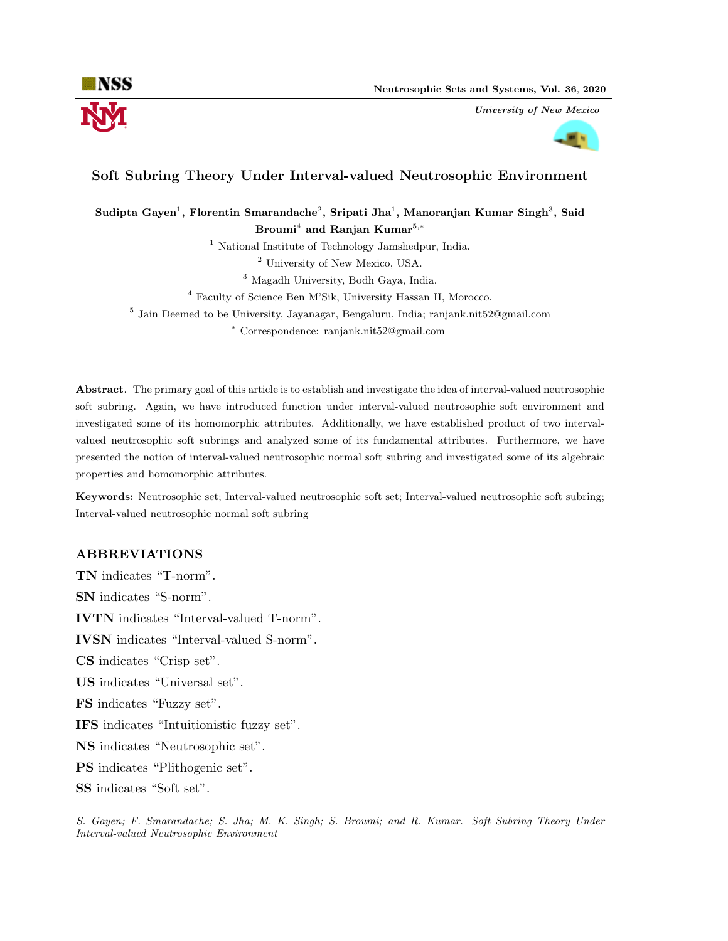

University of New Mexico



# Soft Subring Theory Under Interval-valued Neutrosophic Environment

Sudipta Gayen $^1$ , Florentin Smarandache $^2$ , Sripati Jha $^1$ , Manoranjan Kumar Singh $^3,$  Said Broumi<sup>4</sup> and Ranjan Kumar<sup>5,\*</sup>

<sup>1</sup> National Institute of Technology Jamshedpur, India.

<sup>2</sup> University of New Mexico, USA.

<sup>3</sup> Magadh University, Bodh Gaya, India.

<sup>4</sup> Faculty of Science Ben M'Sik, University Hassan II, Morocco.

5 Jain Deemed to be University, Jayanagar, Bengaluru, India; ranjank.nit52@gmail.com

<sup>∗</sup> Correspondence: ranjank.nit52@gmail.com

Abstract. The primary goal of this article is to establish and investigate the idea of interval-valued neutrosophic soft subring. Again, we have introduced function under interval-valued neutrosophic soft environment and investigated some of its homomorphic attributes. Additionally, we have established product of two intervalvalued neutrosophic soft subrings and analyzed some of its fundamental attributes. Furthermore, we have presented the notion of interval-valued neutrosophic normal soft subring and investigated some of its algebraic properties and homomorphic attributes.

Keywords: Neutrosophic set; Interval-valued neutrosophic soft set; Interval-valued neutrosophic soft subring; Interval-valued neutrosophic normal soft subring

—————————————————————————————————————————–

# ABBREVIATIONS

TN indicates "T-norm". SN indicates "S-norm". IVTN indicates "Interval-valued T-norm". IVSN indicates "Interval-valued S-norm". CS indicates "Crisp set". US indicates "Universal set". FS indicates "Fuzzy set". IFS indicates "Intuitionistic fuzzy set". NS indicates "Neutrosophic set". PS indicates "Plithogenic set". SS indicates "Soft set".

S. Gayen; F. Smarandache; S. Jha; M. K. Singh; S. Broumi; and R. Kumar. Soft Subring Theory Under Interval-valued Neutrosophic Environment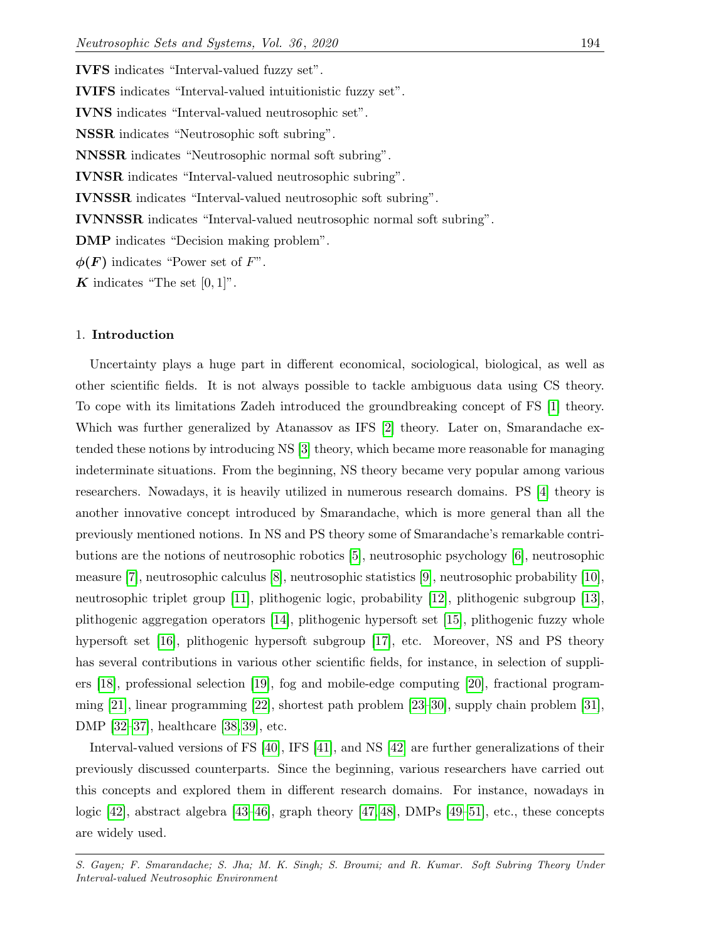IVFS indicates "Interval-valued fuzzy set". IVIFS indicates "Interval-valued intuitionistic fuzzy set". IVNS indicates "Interval-valued neutrosophic set". NSSR indicates "Neutrosophic soft subring". NNSSR indicates "Neutrosophic normal soft subring". IVNSR indicates "Interval-valued neutrosophic subring". IVNSSR indicates "Interval-valued neutrosophic soft subring". IVNNSSR indicates "Interval-valued neutrosophic normal soft subring". DMP indicates "Decision making problem".  $\phi(F)$  indicates "Power set of F".

K indicates "The set  $[0,1]$ ".

#### 1. Introduction

Uncertainty plays a huge part in different economical, sociological, biological, as well as other scientific fields. It is not always possible to tackle ambiguous data using CS theory. To cope with its limitations Zadeh introduced the groundbreaking concept of FS [\[1\]](#page-22-0) theory. Which was further generalized by Atanassov as IFS [\[2\]](#page-22-1) theory. Later on, Smarandache extended these notions by introducing NS [\[3\]](#page-22-2) theory, which became more reasonable for managing indeterminate situations. From the beginning, NS theory became very popular among various researchers. Nowadays, it is heavily utilized in numerous research domains. PS [\[4\]](#page-22-3) theory is another innovative concept introduced by Smarandache, which is more general than all the previously mentioned notions. In NS and PS theory some of Smarandache's remarkable contributions are the notions of neutrosophic robotics [\[5\]](#page-22-4), neutrosophic psychology [\[6\]](#page-22-5), neutrosophic measure [\[7\]](#page-22-6), neutrosophic calculus [\[8\]](#page-22-7), neutrosophic statistics [\[9\]](#page-22-8), neutrosophic probability [\[10\]](#page-22-9), neutrosophic triplet group [\[11\]](#page-22-10), plithogenic logic, probability [\[12\]](#page-22-11), plithogenic subgroup [\[13\]](#page-22-12), plithogenic aggregation operators [\[14\]](#page-22-13), plithogenic hypersoft set [\[15\]](#page-22-14), plithogenic fuzzy whole hypersoft set [\[16\]](#page-22-15), plithogenic hypersoft subgroup [\[17\]](#page-22-16), etc. Moreover, NS and PS theory has several contributions in various other scientific fields, for instance, in selection of suppliers [\[18\]](#page-22-17), professional selection [\[19\]](#page-22-18), fog and mobile-edge computing [\[20\]](#page-22-19), fractional programming [\[21\]](#page-22-20), linear programming [\[22\]](#page-23-0), shortest path problem [\[23–](#page-23-1)[30\]](#page-23-2), supply chain problem [\[31\]](#page-23-3), DMP [\[32](#page-23-4)[–37\]](#page-23-5), healthcare [\[38,](#page-23-6) [39\]](#page-23-7), etc.

Interval-valued versions of FS [\[40\]](#page-23-8), IFS [\[41\]](#page-23-9), and NS [\[42\]](#page-24-0) are further generalizations of their previously discussed counterparts. Since the beginning, various researchers have carried out this concepts and explored them in different research domains. For instance, nowadays in logic [\[42\]](#page-24-0), abstract algebra [\[43–](#page-24-1)[46\]](#page-24-2), graph theory [\[47,](#page-24-3) [48\]](#page-24-4), DMPs [\[49–](#page-24-5)[51\]](#page-24-6), etc., these concepts are widely used.

S. Gayen; F. Smarandache; S. Jha; M. K. Singh; S. Broumi; and R. Kumar. Soft Subring Theory Under Interval-valued Neutrosophic Environment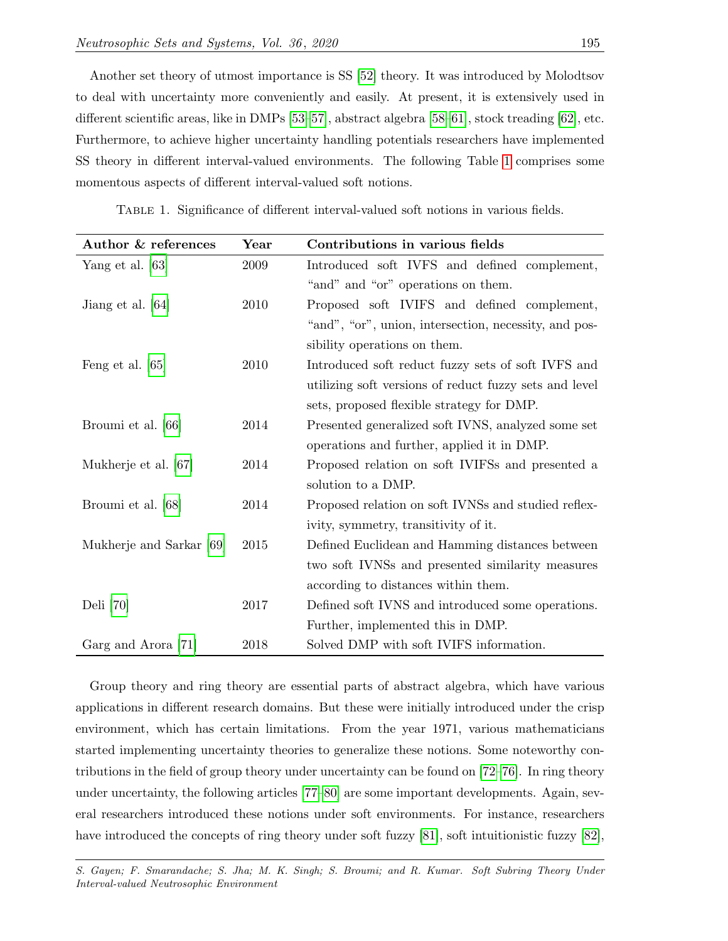Another set theory of utmost importance is SS [\[52\]](#page-24-7) theory. It was introduced by Molodtsov to deal with uncertainty more conveniently and easily. At present, it is extensively used in different scientific areas, like in DMPs [\[53](#page-24-8)[–57\]](#page-24-9), abstract algebra [\[58–](#page-24-10)[61\]](#page-24-11), stock treading [\[62\]](#page-24-12), etc. Furthermore, to achieve higher uncertainty handling potentials researchers have implemented SS theory in different interval-valued environments. The following Table [1](#page-2-0) comprises some momentous aspects of different interval-valued soft notions.

| Author & references      | $\operatorname{Year}$                                      | Contributions in various fields                        |  |  |
|--------------------------|------------------------------------------------------------|--------------------------------------------------------|--|--|
| Yang et al. $[63]$       | 2009                                                       | Introduced soft IVFS and defined complement,           |  |  |
|                          |                                                            | "and" and "or" operations on them.                     |  |  |
| Jiang et al. [64]        | 2010                                                       | Proposed soft IVIFS and defined complement,            |  |  |
|                          |                                                            | "and", "or", union, intersection, necessity, and pos-  |  |  |
|                          | sibility operations on them.                               |                                                        |  |  |
| Feng et al. $[65]$       | 2010                                                       | Introduced soft reduct fuzzy sets of soft IVFS and     |  |  |
|                          |                                                            | utilizing soft versions of reduct fuzzy sets and level |  |  |
|                          |                                                            | sets, proposed flexible strategy for DMP.              |  |  |
| Broumi et al. [66]       | Presented generalized soft IVNS, analyzed some set<br>2014 |                                                        |  |  |
|                          |                                                            | operations and further, applied it in DMP.             |  |  |
| Mukherje et al. [67]     | 2014                                                       | Proposed relation on soft IVIFSs and presented a       |  |  |
|                          |                                                            | solution to a DMP.                                     |  |  |
| Broumi et al. [68]       | 2014                                                       | Proposed relation on soft IVNSs and studied reflex-    |  |  |
|                          |                                                            | ivity, symmetry, transitivity of it.                   |  |  |
| Mukherje and Sarkar [69] | 2015                                                       | Defined Euclidean and Hamming distances between        |  |  |
|                          |                                                            | two soft IVNSs and presented similarity measures       |  |  |
|                          |                                                            | according to distances within them.                    |  |  |
| Deli [70]                | 2017                                                       | Defined soft IVNS and introduced some operations.      |  |  |
|                          |                                                            | Further, implemented this in DMP.                      |  |  |
| Garg and Arora [71]      | 2018                                                       | Solved DMP with soft IVIFS information.                |  |  |

<span id="page-2-0"></span>Table 1. Significance of different interval-valued soft notions in various fields.

Group theory and ring theory are essential parts of abstract algebra, which have various applications in different research domains. But these were initially introduced under the crisp environment, which has certain limitations. From the year 1971, various mathematicians started implementing uncertainty theories to generalize these notions. Some noteworthy contributions in the field of group theory under uncertainty can be found on [\[72–](#page-25-8)[76\]](#page-25-9). In ring theory under uncertainty, the following articles [\[77–](#page-25-10)[80\]](#page-25-11) are some important developments. Again, several researchers introduced these notions under soft environments. For instance, researchers have introduced the concepts of ring theory under soft fuzzy [\[81\]](#page-25-12), soft intuitionistic fuzzy [\[82\]](#page-25-13),

S. Gayen; F. Smarandache; S. Jha; M. K. Singh; S. Broumi; and R. Kumar. Soft Subring Theory Under Interval-valued Neutrosophic Environment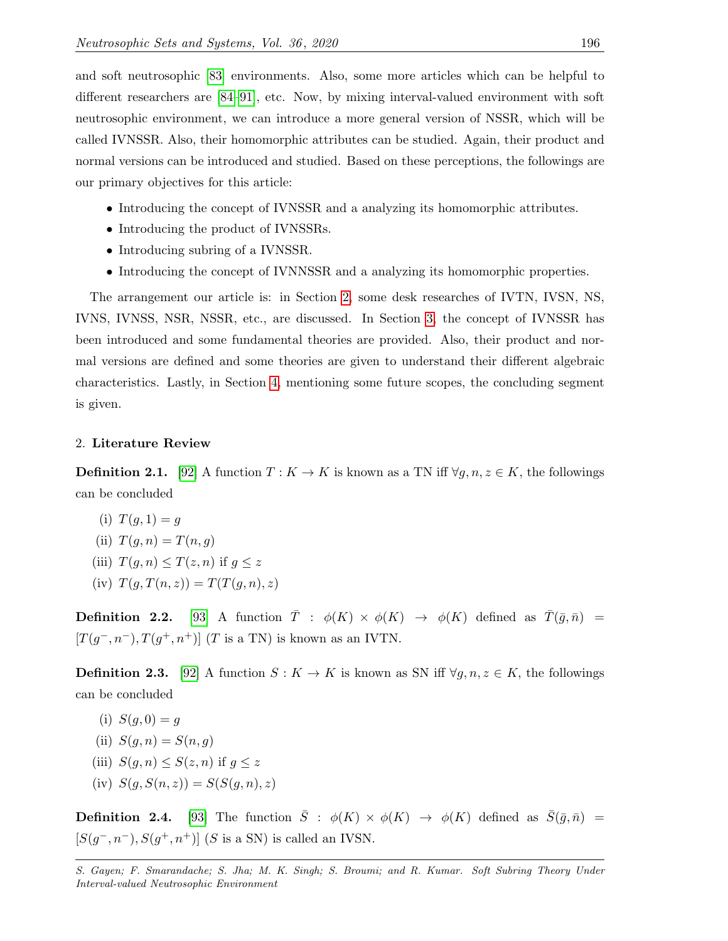and soft neutrosophic [\[83\]](#page-25-14) environments. Also, some more articles which can be helpful to different researchers are [\[84–](#page-25-15)[91\]](#page-26-0), etc. Now, by mixing interval-valued environment with soft neutrosophic environment, we can introduce a more general version of NSSR, which will be called IVNSSR. Also, their homomorphic attributes can be studied. Again, their product and normal versions can be introduced and studied. Based on these perceptions, the followings are our primary objectives for this article:

- Introducing the concept of IVNSSR and a analyzing its homomorphic attributes.
- Introducing the product of IVNSSRs.
- Introducing subring of a IVNSSR.
- Introducing the concept of IVNNSSR and a analyzing its homomorphic properties.

The arrangement our article is: in Section [2,](#page-3-0) some desk researches of IVTN, IVSN, NS, IVNS, IVNSS, NSR, NSSR, etc., are discussed. In Section [3,](#page-6-0) the concept of IVNSSR has been introduced and some fundamental theories are provided. Also, their product and normal versions are defined and some theories are given to understand their different algebraic characteristics. Lastly, in Section [4,](#page-21-0) mentioning some future scopes, the concluding segment is given.

## <span id="page-3-0"></span>2. Literature Review

**Definition 2.1.** [\[92\]](#page-26-1) A function  $T: K \to K$  is known as a TN iff  $\forall g, n, z \in K$ , the followings can be concluded

- (i)  $T(q, 1) = q$ (ii)  $T(q, n) = T(n, q)$
- (iii)  $T(q, n) \leq T(z, n)$  if  $q \leq z$
- (iv)  $T(q, T(n, z)) = T(T(q, n), z)$

**Definition 2.2.** [\[93\]](#page-26-2) A function  $\overline{T}$  :  $\phi(K) \times \phi(K) \rightarrow \phi(K)$  defined as  $\overline{T}(\overline{g}, \overline{n}) =$  $[T(g^-, n^-), T(g^+, n^+)]$  (T is a TN) is known as an IVTN.

**Definition 2.3.** [\[92\]](#page-26-1) A function  $S: K \to K$  is known as SN iff  $\forall g, n, z \in K$ , the followings can be concluded

- (i)  $S(g, 0) = g$
- (ii)  $S(q, n) = S(n, q)$
- (iii)  $S(q, n) \leq S(z, n)$  if  $q \leq z$
- (iv)  $S(g, S(n, z)) = S(S(g, n), z)$

**Definition 2.4.** [\[93\]](#page-26-2) The function  $\bar{S}$  :  $\phi(K) \times \phi(K) \rightarrow \phi(K)$  defined as  $\bar{S}(\bar{g}, \bar{n})$  =  $[S(g^-, n^-), S(g^+, n^+)]$  (S is a SN) is called an IVSN.

S. Gayen; F. Smarandache; S. Jha; M. K. Singh; S. Broumi; and R. Kumar. Soft Subring Theory Under Interval-valued Neutrosophic Environment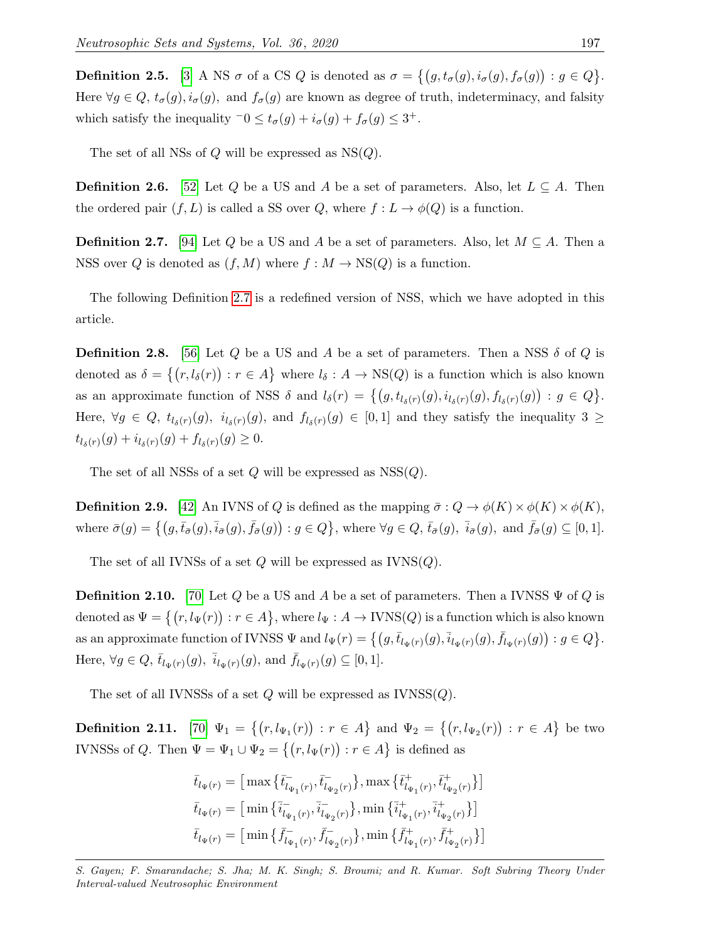**Definition 2.5.** [\[3\]](#page-22-2) A NS  $\sigma$  of a CS Q is denoted as  $\sigma = \{(g, t_{\sigma}(g), i_{\sigma}(g), f_{\sigma}(g)) : g \in Q\}$ . Here  $\forall g \in Q$ ,  $t_{\sigma}(g)$ ,  $i_{\sigma}(g)$ , and  $f_{\sigma}(g)$  are known as degree of truth, indeterminacy, and falsity which satisfy the inequality  $\overline{\phantom{a}} 0 \le t_{\sigma}(g) + i_{\sigma}(g) + f_{\sigma}(g) \le 3^{+}$ .

The set of all NSs of  $Q$  will be expressed as  $NS(Q)$ .

**Definition 2.6.** [\[52\]](#page-24-7) Let Q be a US and A be a set of parameters. Also, let  $L \subseteq A$ . Then the ordered pair  $(f, L)$  is called a SS over Q, where  $f: L \to \phi(Q)$  is a function.

<span id="page-4-0"></span>**Definition 2.7.** [\[94\]](#page-26-3) Let Q be a US and A be a set of parameters. Also, let  $M \subseteq A$ . Then a NSS over Q is denoted as  $(f, M)$  where  $f : M \to NS(Q)$  is a function.

The following Definition [2.7](#page-4-0) is a redefined version of NSS, which we have adopted in this article.

**Definition 2.8.** [\[56\]](#page-24-14) Let Q be a US and A be a set of parameters. Then a NSS  $\delta$  of Q is denoted as  $\delta = \{(r, l_\delta(r)) : r \in A\}$  where  $l_\delta : A \to \text{NS}(Q)$  is a function which is also known as an approximate function of NSS  $\delta$  and  $l_{\delta}(r) = \{(g, t_{l_{\delta}(r)}(g), i_{l_{\delta}(r)}(g), f_{l_{\delta}(r)}(g)) : g \in Q\}.$ Here,  $\forall g \in Q$ ,  $t_{l_{\delta}(r)}(g)$ ,  $i_{l_{\delta}(r)}(g)$ , and  $f_{l_{\delta}(r)}(g) \in [0,1]$  and they satisfy the inequality  $3 \geq$  $t_{l_{\delta}(r)}(g) + i_{l_{\delta}(r)}(g) + f_{l_{\delta}(r)}(g) \geq 0.$ 

The set of all NSSs of a set  $Q$  will be expressed as NSS $(Q)$ .

**Definition 2.9.** [\[42\]](#page-24-0) An IVNS of Q is defined as the mapping  $\bar{\sigma}: Q \to \phi(K) \times \phi(K) \times \phi(K)$ , where  $\bar{\sigma}(g) = \left\{ (g, \bar{t}_{\bar{\sigma}}(g), \bar{i}_{\bar{\sigma}}(g), \bar{f}_{\bar{\sigma}}(g)) : g \in Q \right\}$ , where  $\forall g \in Q$ ,  $\bar{t}_{\bar{\sigma}}(g), \bar{i}_{\bar{\sigma}}(g)$ , and  $\bar{f}_{\bar{\sigma}}(g) \subseteq [0, 1]$ .

The set of all IVNSs of a set  $Q$  will be expressed as  $IVNS(Q)$ .

**Definition 2.10.** [\[70\]](#page-25-6) Let Q be a US and A be a set of parameters. Then a IVNSS  $\Psi$  of Q is denoted as  $\Psi = \big\{(r, l_{\Psi}(r)): r \in A\big\}$ , where  $l_{\Psi}: A \to \text{IVNS}(Q)$  is a function which is also known as an approximate function of IVNSS  $\Psi$  and  $l_{\Psi}(r) = \left\{ (g, \bar{t}_{l_{\Psi}(r)}(g), \bar{i}_{l_{\Psi}(r)}(g), \bar{f}_{l_{\Psi}(r)}(g)) : g \in Q \right\}$ . Here,  $\forall g \in Q, \bar{t}_{l_{\Psi}(r)}(g), \bar{i}_{l_{\Psi}(r)}(g), \text{ and } \bar{f}_{l_{\Psi}(r)}(g) \subseteq [0,1].$ 

The set of all IVNSSs of a set  $Q$  will be expressed as  $IVNSS(Q)$ .

**Definition 2.11.** [\[70\]](#page-25-6)  $\Psi_1 = \{(r, l_{\Psi_1}(r)) : r \in A\}$  and  $\Psi_2 = \{(r, l_{\Psi_2}(r)) : r \in A\}$  be two IVNSSs of Q. Then  $\Psi = \Psi_1 \cup \Psi_2 = \{(r, l_{\Psi}(r)) : r \in A\}$  is defined as

$$
\begin{aligned} \bar{t}_{l_{\Psi}(r)} &= \big[\max\big\{\bar{t}_{l_{\Psi_1}(r)}^{-}, \bar{t}_{l_{\Psi_2}(r)}^{-}\big\}, \max\big\{\bar{t}_{l_{\Psi_1}(r)}^{+}, \bar{t}_{l_{\Psi_2}(r)}^{+}\big\}\big] \\ \bar{t}_{l_{\Psi}(r)} &= \big[\min\big\{\bar{i}_{l_{\Psi_1}(r)}^{-}, \bar{i}_{l_{\Psi_2}(r)}^{-}\big\}, \min\big\{\bar{i}_{l_{\Psi_1}(r)}^{+}, \bar{i}_{l_{\Psi_2}(r)}^{+}\big\}\big] \\ \bar{t}_{l_{\Psi}(r)} &= \big[\min\big\{\bar{f}_{l_{\Psi_1}(r)}^{-}, \bar{f}_{l_{\Psi_2}(r)}^{-}\big\}, \min\big\{\bar{f}_{l_{\Psi_1}(r)}^{+}, \bar{f}_{l_{\Psi_2}(r)}^{+}\big\}\big] \end{aligned}
$$

S. Gayen; F. Smarandache; S. Jha; M. K. Singh; S. Broumi; and R. Kumar. Soft Subring Theory Under Interval-valued Neutrosophic Environment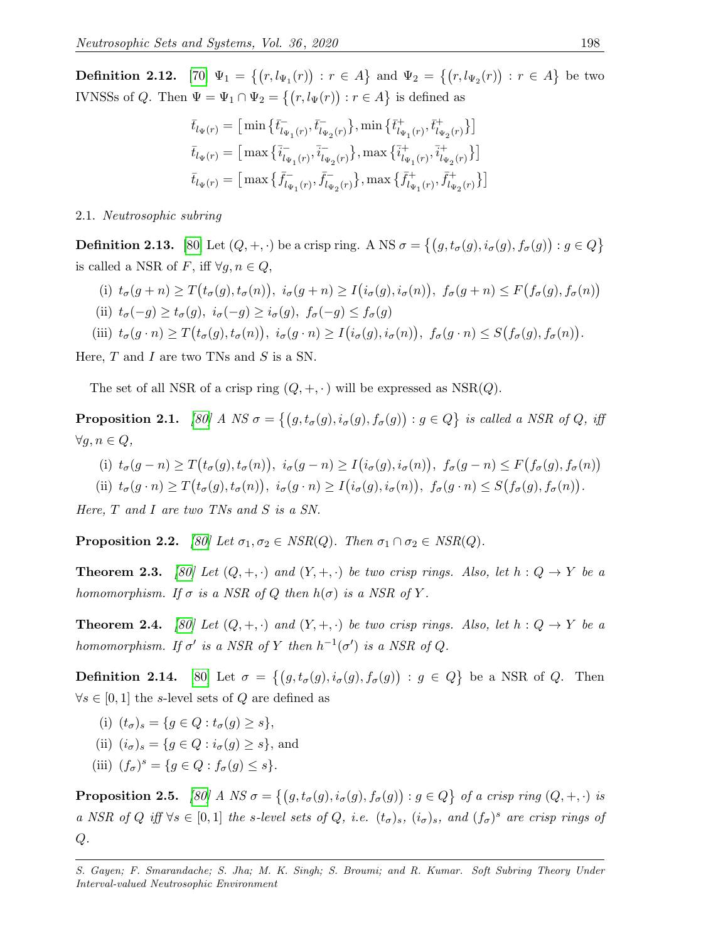**Definition 2.12.** [\[70\]](#page-25-6)  $\Psi_1 = \{(r, l_{\Psi_1}(r)) : r \in A\}$  and  $\Psi_2 = \{(r, l_{\Psi_2}(r)) : r \in A\}$  be two IVNSSs of Q. Then  $\Psi = \Psi_1 \cap \Psi_2 = \{(r, l_{\Psi}(r)) : r \in A\}$  is defined as

$$
\begin{aligned} \bar{t}_{l_{\Psi}(r)} &= \big[\min\big\{\bar{t}_{l_{\Psi_1}(r)}^-, \bar{t}_{l_{\Psi_2}(r)}^-\big\}, \min\big\{\bar{t}_{l_{\Psi_1}(r)}^+, \bar{t}_{l_{\Psi_2}(r)}^+\big\}\big] \\ \bar{t}_{l_{\Psi}(r)} &= \big[\max\big\{\bar{i}_{l_{\Psi_1}(r)}^-, \bar{i}_{l_{\Psi_2}(r)}^-\big\}, \max\big\{\bar{i}_{l_{\Psi_1}(r)}^+, \bar{i}_{l_{\Psi_2}(r)}^+\big\}\big] \\ \bar{t}_{l_{\Psi}(r)} &= \big[\max\big\{\bar{f}_{l_{\Psi_1}(r)}^-, \bar{f}_{l_{\Psi_2}(r)}^-\big\}, \max\big\{\bar{f}_{l_{\Psi_1}(r)}^+, \bar{f}_{l_{\Psi_2}(r)}^+\big\}\big] \end{aligned}
$$

2.1. Neutrosophic subring

**Definition 2.13.** [\[80\]](#page-25-11) Let  $(Q, +, \cdot)$  be a crisp ring. A NS  $\sigma = \{(g, t_{\sigma}(g), i_{\sigma}(g), f_{\sigma}(g)) : g \in Q\}$ is called a NSR of F, iff  $\forall g, n \in Q$ ,

- (i)  $t_{\sigma}(g+n) \geq T(t_{\sigma}(g), t_{\sigma}(n)), i_{\sigma}(g+n) \geq I(i_{\sigma}(g), i_{\sigma}(n)), f_{\sigma}(g+n) \leq F(f_{\sigma}(g), f_{\sigma}(n))$
- (ii)  $t_{\sigma}(-q) \geq t_{\sigma}(q), i_{\sigma}(-q) \geq i_{\sigma}(q), f_{\sigma}(-q) \leq f_{\sigma}(q)$
- (iii)  $t_{\sigma}(g \cdot n) \geq T(t_{\sigma}(g), t_{\sigma}(n)), i_{\sigma}(g \cdot n) \geq I(i_{\sigma}(g), i_{\sigma}(n)), f_{\sigma}(g \cdot n) \leq S(f_{\sigma}(g), f_{\sigma}(n)).$

Here,  $T$  and  $I$  are two TNs and  $S$  is a SN.

The set of all NSR of a crisp ring  $(Q, +, \cdot)$  will be expressed as NSR(Q).

**Proposition 2.1.** [\[80\]](#page-25-11) A NS  $\sigma = \{(g, t_{\sigma}(g), i_{\sigma}(g), f_{\sigma}(g)) : g \in Q\}$  is called a NSR of Q, iff  $\forall g, n \in Q,$ 

(i) 
$$
t_{\sigma}(g-n) \geq T(t_{\sigma}(g), t_{\sigma}(n)), i_{\sigma}(g-n) \geq I(i_{\sigma}(g), i_{\sigma}(n)), f_{\sigma}(g-n) \leq F(f_{\sigma}(g), f_{\sigma}(n))
$$

(ii)  $t_{\sigma}(g \cdot n) \geq T(t_{\sigma}(g), t_{\sigma}(n)), i_{\sigma}(g \cdot n) \geq I(i_{\sigma}(g), i_{\sigma}(n)), f_{\sigma}(g \cdot n) \leq S(f_{\sigma}(g), f_{\sigma}(n)).$ 

Here,  $T$  and  $I$  are two TNs and  $S$  is a SN.

**Proposition 2.2.** [\[80\]](#page-25-11) Let  $\sigma_1, \sigma_2 \in NSR(Q)$ . Then  $\sigma_1 \cap \sigma_2 \in NSR(Q)$ .

**Theorem 2.3.** [\[80\]](#page-25-11) Let  $(Q, +, \cdot)$  and  $(Y, +, \cdot)$  be two crisp rings. Also, let  $h: Q \to Y$  be a homomorphism. If  $\sigma$  is a NSR of Q then  $h(\sigma)$  is a NSR of Y.

**Theorem 2.4.** [\[80\]](#page-25-11) Let  $(Q, +, \cdot)$  and  $(Y, +, \cdot)$  be two crisp rings. Also, let  $h: Q \to Y$  be a homomorphism. If  $\sigma'$  is a NSR of Y then  $h^{-1}(\sigma')$  is a NSR of Q.

**Definition 2.14.** [\[80\]](#page-25-11) Let  $\sigma = \{(g, t_{\sigma}(g), i_{\sigma}(g), f_{\sigma}(g)) : g \in Q\}$  be a NSR of Q. Then  $\forall s \in [0,1]$  the s-level sets of Q are defined as

- (i)  $(t_{\sigma})_s = \{q \in Q : t_{\sigma}(q) \geq s\},\$
- (ii)  $(i_{\sigma})_s = \{q \in Q : i_{\sigma}(q) \geq s\}$ , and
- (iii)  $(f_{\sigma})^s = \{ g \in Q : f_{\sigma}(g) \le s \}.$

**Proposition 2.5.** [\[80\]](#page-25-11) A NS  $\sigma = \{(g, t_{\sigma}(g), i_{\sigma}(g), f_{\sigma}(g)) : g \in Q\}$  of a crisp ring  $(Q, +, \cdot)$  is a NSR of Q iff  $\forall s \in [0,1]$  the s-level sets of Q, i.e.  $(t_{\sigma})_s$ ,  $(i_{\sigma})_s$ , and  $(f_{\sigma})^s$  are crisp rings of  $Q$ .

S. Gayen; F. Smarandache; S. Jha; M. K. Singh; S. Broumi; and R. Kumar. Soft Subring Theory Under Interval-valued Neutrosophic Environment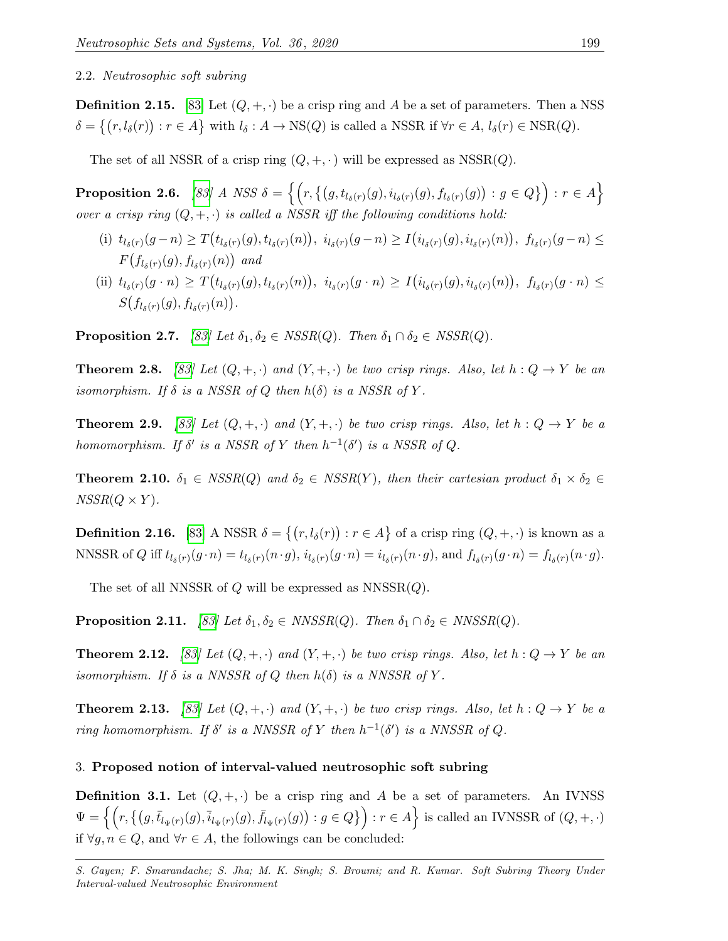#### 2.2. Neutrosophic soft subring

**Definition 2.15.** [\[83\]](#page-25-14) Let  $(Q, +, \cdot)$  be a crisp ring and A be a set of parameters. Then a NSS  $\delta = \{(r, l_\delta(r)) : r \in A\}$  with  $l_\delta : A \to \text{NS}(Q)$  is called a NSSR if  $\forall r \in A, l_\delta(r) \in \text{NSR}(Q)$ .

The set of all NSSR of a crisp ring  $(Q, +, \cdot)$  will be expressed as NSSR $(Q)$ .

 $\textbf{Proposition 2.6.} \quad \textit{[83] A NSS} \; \delta = \Big\{ \Big( r, \big\{ \big( g, t_{l_{\delta}(r)}(g), i_{l_{\delta}(r)}(g), f_{l_{\delta}(r)}(g) \big) : g \in Q \big\} \Big) : r \in A \Big\}$  $\textbf{Proposition 2.6.} \quad \textit{[83] A NSS} \; \delta = \Big\{ \Big( r, \big\{ \big( g, t_{l_{\delta}(r)}(g), i_{l_{\delta}(r)}(g), f_{l_{\delta}(r)}(g) \big) : g \in Q \big\} \Big) : r \in A \Big\}$  $\textbf{Proposition 2.6.} \quad \textit{[83] A NSS} \; \delta = \Big\{ \Big( r, \big\{ \big( g, t_{l_{\delta}(r)}(g), i_{l_{\delta}(r)}(g), f_{l_{\delta}(r)}(g) \big) : g \in Q \big\} \Big) : r \in A \Big\}$ over a crisp ring  $(Q, +, \cdot)$  is called a NSSR iff the following conditions hold:

- (i)  $t_{l_{\delta}(r)}(g-n) \geq T(t_{l_{\delta}(r)}(g), t_{l_{\delta}(r)}(n)), i_{l_{\delta}(r)}(g-n) \geq T(t_{l_{\delta}(r)}(g), i_{l_{\delta}(r)}(n)), f_{l_{\delta}(r)}(g-n) \leq$  $F(f_{l_{\delta}(r)}(g),f_{l_{\delta}(r)}(n))$  and
- (ii)  $t_{l_{\delta}(r)}(g \cdot n) \geq T(t_{l_{\delta}(r)}(g), t_{l_{\delta}(r)}(n)), \ i_{l_{\delta}(r)}(g \cdot n) \geq I(i_{l_{\delta}(r)}(g), i_{l_{\delta}(r)}(n)), \ f_{l_{\delta}(r)}(g \cdot n) \leq$  $S(f_{l_{\delta}(r)}(g),f_{l_{\delta}(r)}(n)).$

**Proposition 2.7.** [\[83\]](#page-25-14) Let  $\delta_1, \delta_2 \in \text{NSSR}(Q)$ . Then  $\delta_1 \cap \delta_2 \in \text{NSSR}(Q)$ .

**Theorem 2.8.** [\[83\]](#page-25-14) Let  $(Q, +, \cdot)$  and  $(Y, +, \cdot)$  be two crisp rings. Also, let  $h: Q \to Y$  be an isomorphism. If  $\delta$  is a NSSR of Q then  $h(\delta)$  is a NSSR of Y.

**Theorem 2.9.** [\[83\]](#page-25-14) Let  $(Q, +, \cdot)$  and  $(Y, +, \cdot)$  be two crisp rings. Also, let  $h: Q \to Y$  be a homomorphism. If  $\delta'$  is a NSSR of Y then  $h^{-1}(\delta')$  is a NSSR of Q.

**Theorem 2.10.**  $\delta_1 \in \text{NSSR}(Q)$  and  $\delta_2 \in \text{NSSR}(Y)$ , then their cartesian product  $\delta_1 \times \delta_2 \in$  $NSSR(Q \times Y)$ .

**Definition 2.16.** [\[83\]](#page-25-14) A NSSR  $\delta = \{(r, l_\delta(r)) : r \in A\}$  of a crisp ring  $(Q, +, \cdot)$  is known as a NNSSR of Q iff  $t_{l_{\delta}(r)}(g \cdot n) = t_{l_{\delta}(r)}(n \cdot g)$ ,  $i_{l_{\delta}(r)}(g \cdot n) = i_{l_{\delta}(r)}(n \cdot g)$ , and  $f_{l_{\delta}(r)}(g \cdot n) = f_{l_{\delta}(r)}(n \cdot g)$ .

The set of all NNSSR of  $Q$  will be expressed as  $NNSSR(Q)$ .

**Proposition 2.11.** [\[83\]](#page-25-14) Let  $\delta_1, \delta_2 \in NNSSR(Q)$ . Then  $\delta_1 \cap \delta_2 \in NNSSR(Q)$ .

**Theorem 2.12.** [\[83\]](#page-25-14) Let  $(Q, +, \cdot)$  and  $(Y, +, \cdot)$  be two crisp rings. Also, let  $h: Q \to Y$  be an isomorphism. If  $\delta$  is a NNSSR of Q then  $h(\delta)$  is a NNSSR of Y.

**Theorem 2.13.** [\[83\]](#page-25-14) Let  $(Q, +, \cdot)$  and  $(Y, +, \cdot)$  be two crisp rings. Also, let  $h: Q \to Y$  be a ring homomorphism. If  $\delta'$  is a NNSSR of Y then  $h^{-1}(\delta')$  is a NNSSR of Q.

#### <span id="page-6-0"></span>3. Proposed notion of interval-valued neutrosophic soft subring

<span id="page-6-1"></span>**Definition 3.1.** Let  $(Q, +, \cdot)$  be a crisp ring and A be a set of parameters. An IVNSS  $\Psi = \left\{ \left( r, \left\{ (g,\bar{t}_{l_{\Psi}(r)}(g),\bar{i}_{l_{\Psi}(r)}(g),\bar{f}_{l_{\Psi}(r)}(g)) : g \in Q \right\} \right) : r \in A \right\} \text{ is called an IVNSSR of } (Q,+,\cdot)$ if  $\forall g, n \in Q$ , and  $\forall r \in A$ , the followings can be concluded:

S. Gayen; F. Smarandache; S. Jha; M. K. Singh; S. Broumi; and R. Kumar. Soft Subring Theory Under Interval-valued Neutrosophic Environment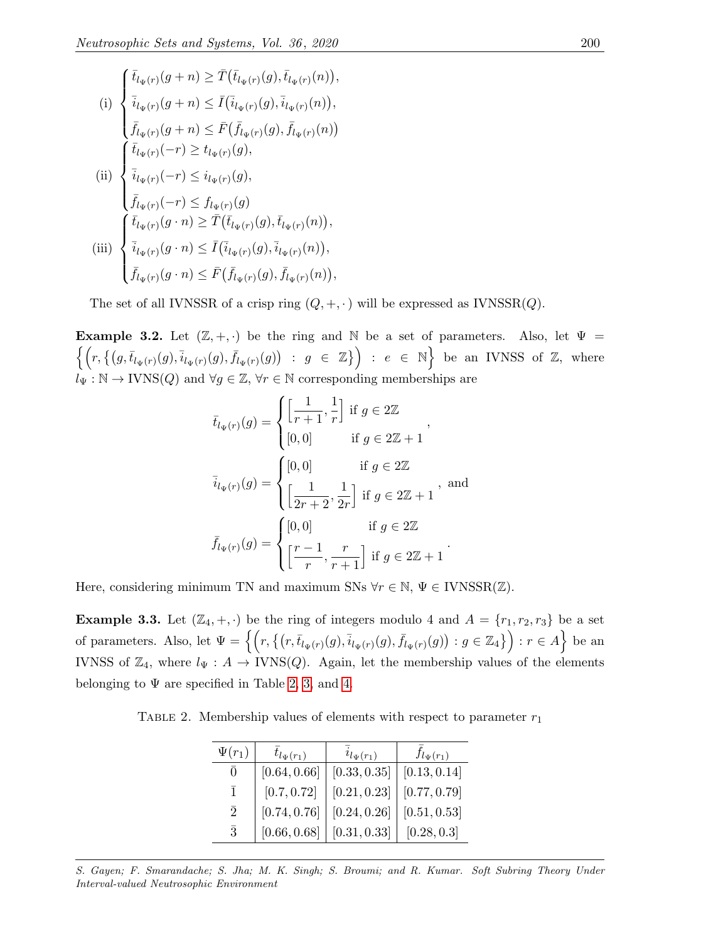(i) 
$$
\begin{cases} \bar{t}_{l_{\Psi}(r)}(g+n) \geq \bar{T}(\bar{t}_{l_{\Psi}(r)}(g), \bar{t}_{l_{\Psi}(r)}(n)), \\ \bar{i}_{l_{\Psi}(r)}(g+n) \leq \bar{I}(\bar{i}_{l_{\Psi}(r)}(g), \bar{i}_{l_{\Psi}(r)}(n)), \\ \bar{f}_{l_{\Psi}(r)}(g+n) \leq \bar{F}(\bar{f}_{l_{\Psi}(r)}(g), \bar{f}_{l_{\Psi}(r)}(n)) \\ \{\bar{t}_{l_{\Psi}(r)}(-r) \geq t_{l_{\Psi}(r)}(g), \\ \bar{i}_{l_{\Psi}(r)}(-r) \leq i_{l_{\Psi}(r)}(g), \\ \bar{f}_{l_{\Psi}(r)}(-r) \leq f_{l_{\Psi}(r)}(g) \\ \{\bar{t}_{l_{\Psi}(r)}(g \cdot n) \geq \bar{T}(\bar{t}_{l_{\Psi}(r)}(g), \bar{t}_{l_{\Psi}(r)}(n)), \\ \{\bar{i}_{l_{\Psi}(r)}(g \cdot n) \leq \bar{I}(\bar{i}_{l_{\Psi}(r)}(g), \bar{i}_{l_{\Psi}(r)}(n)), \\ \bar{f}_{l_{\Psi}(r)}(g \cdot n) \leq \bar{F}(\bar{f}_{l_{\Psi}(r)}(g), \bar{f}_{l_{\Psi}(r)}(n)), \end{cases}
$$

The set of all IVNSSR of a crisp ring  $(Q, +, \cdot)$  will be expressed as IVNSSR $(Q)$ .

**Example 3.2.** Let  $(\mathbb{Z}, +, \cdot)$  be the ring and N be a set of parameters. Also, let  $\Psi =$  $\left\{ \left( r,\left\{ (g,\bar{t}_{l_{\Psi }(r)}(g),\bar{i}_{l_{\Psi }(r)}(g),\bar{f}_{l_{\Psi }(r)}(g))\ :\ g\ \in\ \mathbb{Z}\right\} \right) \ :\ e\ \in\ \mathbb{N}\right\} \ \text{be an IVNSS of}\ \mathbb{Z},\ \text{where}$  $l_{\Psi} : \mathbb{N} \to \text{IVNS}(Q)$  and  $\forall g \in \mathbb{Z}, \forall r \in \mathbb{N}$  corresponding memberships are

$$
\bar{t}_{l_{\Psi}(r)}(g) = \begin{cases}\n\left[\frac{1}{r+1}, \frac{1}{r}\right] & \text{if } g \in 2\mathbb{Z} \\
[0,0] & \text{if } g \in 2\mathbb{Z} + 1\n\end{cases},
$$
\n
$$
\bar{i}_{l_{\Psi}(r)}(g) = \begin{cases}\n[0,0] & \text{if } g \in 2\mathbb{Z} \\
\left[\frac{1}{2r+2}, \frac{1}{2r}\right] & \text{if } g \in 2\mathbb{Z} + 1\n\end{cases}, \text{ and}
$$
\n
$$
\bar{f}_{l_{\Psi}(r)}(g) = \begin{cases}\n[0,0] & \text{if } g \in 2\mathbb{Z} \\
\left[\frac{r-1}{r}, \frac{r}{r+1}\right] & \text{if } g \in 2\mathbb{Z} + 1\n\end{cases}.
$$

Here, considering minimum TN and maximum SNs  $\forall r \in \mathbb{N}, \Psi \in \text{IVNSSR}(\mathbb{Z})$ .

**Example 3.3.** Let  $(\mathbb{Z}_4, +, \cdot)$  be the ring of integers modulo 4 and  $A = \{r_1, r_2, r_3\}$  be a set of parameters. Also, let  $\Psi = \left\{ \left( r, \left\{ (r,\bar{t}_{l_{\Psi}(r)}(g),\bar{i}_{l_{\Psi}(r)}(g),\bar{f}_{l_{\Psi}(r)}(g)) : g \in \mathbb{Z}_4 \right\} \right) : r \in A \right\}$  be an IVNSS of  $\mathbb{Z}_4$ , where  $l_{\Psi}: A \to \text{IVNS}(Q)$ . Again, let the membership values of the elements belonging to  $\Psi$  are specified in Table [2,](#page-7-0) [3,](#page-8-0) and [4.](#page-8-1)

<span id="page-7-0"></span>TABLE 2. Membership values of elements with respect to parameter  $r_1$ 

| $\Psi(r_1)$  | $t_{l_{\Psi}(r_1)}$ | $i_{l_{\Psi}(r_1)}$ | $f_{l_{\Psi}(r_1)}$ |
|--------------|---------------------|---------------------|---------------------|
| 0            | [0.64, 0.66]        | [0.33, 0.35]        | [0.13, 0.14]        |
| $\mathbf{1}$ | [0.7, 0.72]         | [0.21, 0.23]        | [0.77, 0.79]        |
| $\bar{2}$    | [0.74, 0.76]        | [0.24, 0.26]        | [0.51, 0.53]        |
| $\bar{3}$    | [0.66, 0.68]        | [0.31, 0.33]        | [0.28, 0.3]         |

S. Gayen; F. Smarandache; S. Jha; M. K. Singh; S. Broumi; and R. Kumar. Soft Subring Theory Under Interval-valued Neutrosophic Environment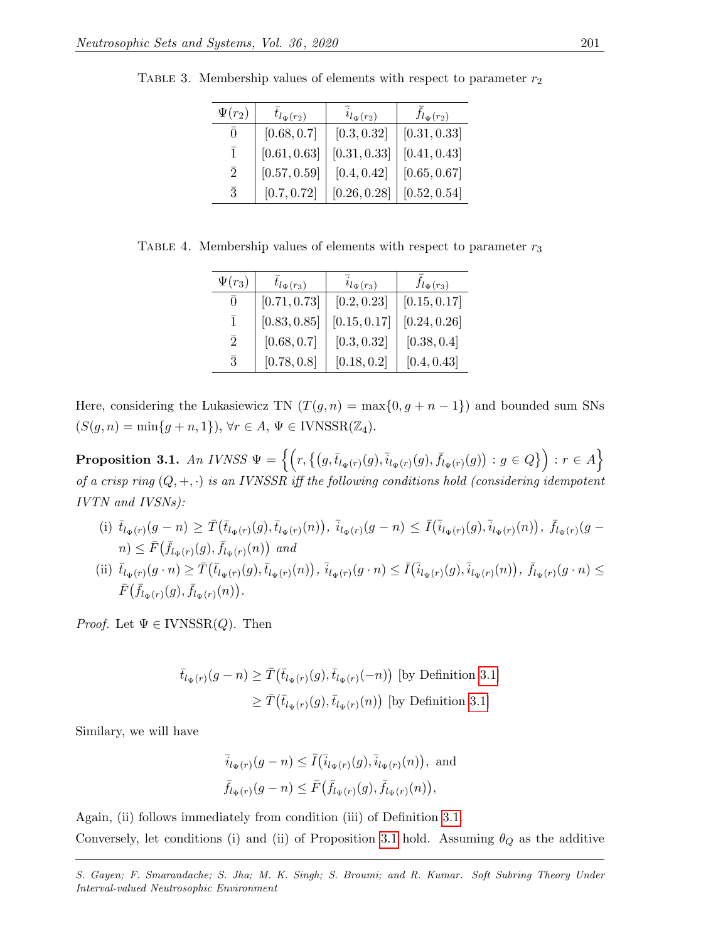| $\Psi(r_2)$    | $t_{l_{\Psi}(r_2)}$ | $i_{l_{\Psi}(r_2)}$ | $f_{l_{\Psi}(r_2)}$ |
|----------------|---------------------|---------------------|---------------------|
| $\Omega$       | [0.68, 0.7]         | [0.3, 0.32]         | [0.31, 0.33]        |
| ī              | [0.61, 0.63]        | [0.31, 0.33]        | [0.41, 0.43]        |
| $\overline{2}$ | [0.57, 0.59]        | [0.4, 0.42]         | [0.65, 0.67]        |
| $\overline{3}$ | [0.7, 0.72]         | [0.26, 0.28]        | [0.52, 0.54]        |

<span id="page-8-0"></span>TABLE 3. Membership values of elements with respect to parameter  $r_2$ 

<span id="page-8-1"></span>TABLE 4. Membership values of elements with respect to parameter  $r_3$ 

| $\Psi(r_3)$    | $t_{l_{\Psi}(r_3)}$ | $i_{l_{\Psi}(r_3)}$ | $f_{l_{\Psi}(r_3)}$ |
|----------------|---------------------|---------------------|---------------------|
| $\overline{0}$ | [0.71, 0.73]        | [0.2, 0.23]         | [0.15, 0.17]        |
| $\mathbf{1}$   | [0.83, 0.85]        | [0.15, 0.17]        | [0.24, 0.26]        |
| $\overline{2}$ | [0.68, 0.7]         | [0.3, 0.32]         | [0.38, 0.4]         |
| $\bar{3}$      | [0.78, 0.8]         | [0.18, 0.2]         | [0.4, 0.43]         |

Here, considering the Lukasiewicz TN  $(T(g, n) = \max\{0, g + n - 1\})$  and bounded sum SNs  $(S(g, n) = \min\{g + n, 1\}), \forall r \in A, \Psi \in \text{IVNSSR}(\mathbb{Z}_4).$ 

<span id="page-8-2"></span> $\textbf{Proposition 3.1.} \ \textit{An IVNSS} \ \Psi = \left\{ \left( r, \left\lbrace (g, \bar{t}_{l_\Psi(r)}(g), \bar{i}_{l_\Psi(r)}(g), \bar{f}_{l_\Psi(r)}(g)) : g \in Q \right\rbrace \right) : r \in A \right\}$ of a crisp ring  $(Q, +, \cdot)$  is an IVNSSR iff the following conditions hold (considering idempotent IVTN and IVSNs):

- (i)  $\bar{t}_{l_{\Psi}(r)}(g-n) \geq \bar{T}(\bar{t}_{l_{\Psi}(r)}(g), \bar{t}_{l_{\Psi}(r)}(n)), \ \bar{i}_{l_{\Psi}(r)}(g-n) \leq \bar{I}(\bar{i}_{l_{\Psi}(r)}(g), \bar{i}_{l_{\Psi}(r)}(n)), \ \bar{f}_{l_{\Psi}(r)}(g-n)$  $n) \leq \bar{F}(\bar{f}_{l_{\Psi}(r)}(g), \bar{f}_{l_{\Psi}(r)}(n))$  and
- (ii)  $\bar{t}_{l_{\Psi}(r)}(g \cdot n) \geq \bar{T}(\bar{t}_{l_{\Psi}(r)}(g), \bar{t}_{l_{\Psi}(r)}(n)), \bar{i}_{l_{\Psi}(r)}(g \cdot n) \leq \bar{I}(\bar{i}_{l_{\Psi}(r)}(g), \bar{i}_{l_{\Psi}(r)}(n)), \bar{f}_{l_{\Psi}(r)}(g \cdot n) \leq$  $\bar{F}(\bar{f}_{l_{\Psi}(r)}(g),\bar{f}_{l_{\Psi}(r)}(n)).$

*Proof.* Let  $\Psi \in \text{IVNSSR}(Q)$ . Then

$$
\bar{t}_{l_{\Psi}(r)}(g-n) \geq \bar{T}(\bar{t}_{l_{\Psi}(r)}(g), \bar{t}_{l_{\Psi}(r)}(-n))
$$
 [by Definition 3.1]  

$$
\geq \bar{T}(\bar{t}_{l_{\Psi}(r)}(g), \bar{t}_{l_{\Psi}(r)}(n))
$$
 [by Definition 3.1]

Similary, we will have

$$
\bar{i}_{l_{\Psi}(r)}(g-n) \leq \bar{I}(\bar{i}_{l_{\Psi}(r)}(g), \bar{i}_{l_{\Psi}(r)}(n)), \text{ and}
$$
  

$$
\bar{f}_{l_{\Psi}(r)}(g-n) \leq \bar{F}(\bar{f}_{l_{\Psi}(r)}(g), \bar{f}_{l_{\Psi}(r)}(n)),
$$

Again, (ii) follows immediately from condition (iii) of Definition [3.1.](#page-6-1) Conversely, let conditions (i) and (ii) of Proposition [3.1](#page-8-2) hold. Assuming  $\theta_Q$  as the additive

S. Gayen; F. Smarandache; S. Jha; M. K. Singh; S. Broumi; and R. Kumar. Soft Subring Theory Under Interval-valued Neutrosophic Environment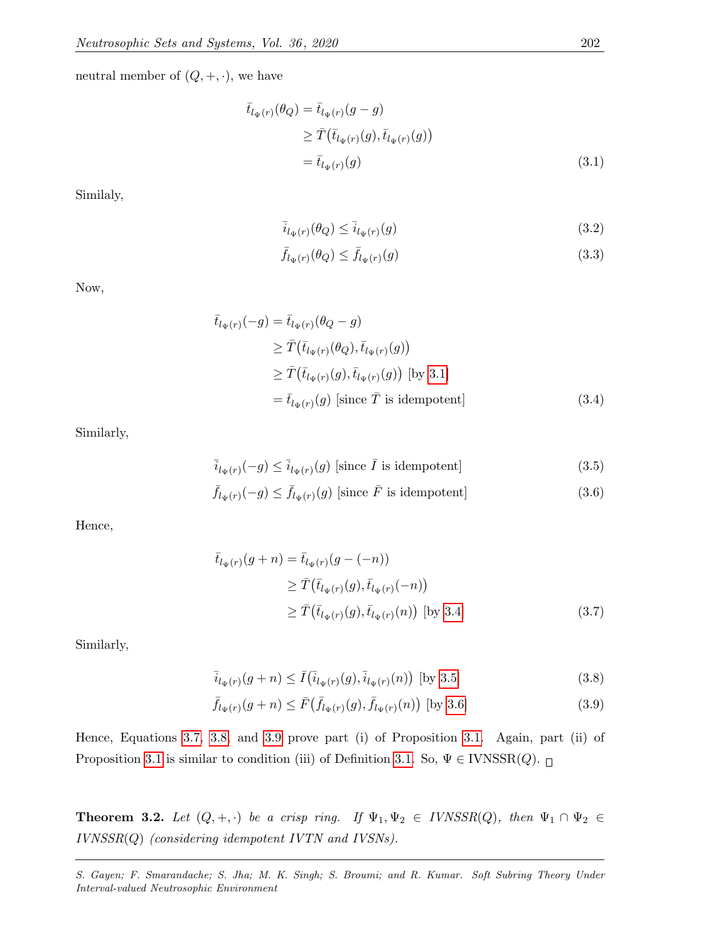neutral member of  $(Q, +, \cdot),$  we have

$$
\begin{aligned}\n\bar{t}_{l_{\Psi}(r)}(\theta_Q) &= \bar{t}_{l_{\Psi}(r)}(g-g) \\
&\geq \bar{T}(\bar{t}_{l_{\Psi}(r)}(g), \bar{t}_{l_{\Psi}(r)}(g)) \\
&= \bar{t}_{l_{\Psi}(r)}(g)\n\end{aligned} \tag{3.1}
$$

Similaly,

<span id="page-9-0"></span>
$$
\overline{i}_{l_{\Psi}(r)}(\theta_{Q}) \leq \overline{i}_{l_{\Psi}(r)}(g) \tag{3.2}
$$

<span id="page-9-2"></span><span id="page-9-1"></span>
$$
\bar{f}_{l_{\Psi}(r)}(\theta_Q) \le \bar{f}_{l_{\Psi}(r)}(g) \tag{3.3}
$$

Now,

$$
\begin{aligned}\n\bar{t}_{l_{\Psi}(r)}(-g) &= \bar{t}_{l_{\Psi}(r)}(\theta_Q - g) \\
&\ge \bar{T}(\bar{t}_{l_{\Psi}(r)}(\theta_Q), \bar{t}_{l_{\Psi}(r)}(g)) \\
&\ge \bar{T}(\bar{t}_{l_{\Psi}(r)}(g), \bar{t}_{l_{\Psi}(r)}(g)) \text{ [by 3.1]} \\
&= \bar{t}_{l_{\Psi}(r)}(g) \text{ [since } \bar{T} \text{ is idempotent]} \n\end{aligned} \tag{3.4}
$$

Similarly,

$$
\overline{i}_{l_{\Psi}(r)}(-g) \le \overline{i}_{l_{\Psi}(r)}(g) \text{ [since } \overline{I} \text{ is idempotent]}
$$
\n(3.5)

<span id="page-9-3"></span>
$$
\bar{f}_{l_{\Psi}(r)}(-g) \le \bar{f}_{l_{\Psi}(r)}(g) \text{ [since } \bar{F} \text{ is idempotent]}
$$
\n(3.6)

Hence,

<span id="page-9-4"></span>
$$
\begin{aligned}\n\bar{t}_{l_{\Psi}(r)}(g+n) &= \bar{t}_{l_{\Psi}(r)}(g-(-n)) \\
&\ge \bar{T}(\bar{t}_{l_{\Psi}(r)}(g), \bar{t}_{l_{\Psi}(r)}(-n)) \\
&\ge \bar{T}(\bar{t}_{l_{\Psi}(r)}(g), \bar{t}_{l_{\Psi}(r)}(n)) \text{ [by 3.4]} \n\end{aligned} \tag{3.7}
$$

Similarly,

<span id="page-9-6"></span><span id="page-9-5"></span>
$$
\bar{i}_{l_{\Psi}(r)}(g+n) \le \bar{I}(\bar{i}_{l_{\Psi}(r)}(g), \bar{i}_{l_{\Psi}(r)}(n)) \text{ [by 3.5]}
$$
\n(3.8)

$$
\bar{f}_{l_{\Psi}(r)}(g+n) \le \bar{F}(\bar{f}_{l_{\Psi}(r)}(g), \bar{f}_{l_{\Psi}(r)}(n)) \text{ [by 3.6]}
$$
\n(3.9)

Hence, Equations [3.7,](#page-9-4) [3.8,](#page-9-5) and [3.9](#page-9-6) prove part (i) of Proposition [3.1.](#page-8-2) Again, part (ii) of Proposition [3.1](#page-8-2) is similar to condition (iii) of Definition [3.1.](#page-6-1) So,  $\Psi \in \text{IVNSSR}(Q)$ .  $\Box$ 

<span id="page-9-7"></span>**Theorem 3.2.** Let  $(Q, +, \cdot)$  be a crisp ring. If  $\Psi_1, \Psi_2 \in IVMSSR(Q)$ , then  $\Psi_1 \cap \Psi_2 \in$ IVNSSR(Q) (considering idempotent IVTN and IVSNs).

S. Gayen; F. Smarandache; S. Jha; M. K. Singh; S. Broumi; and R. Kumar. Soft Subring Theory Under Interval-valued Neutrosophic Environment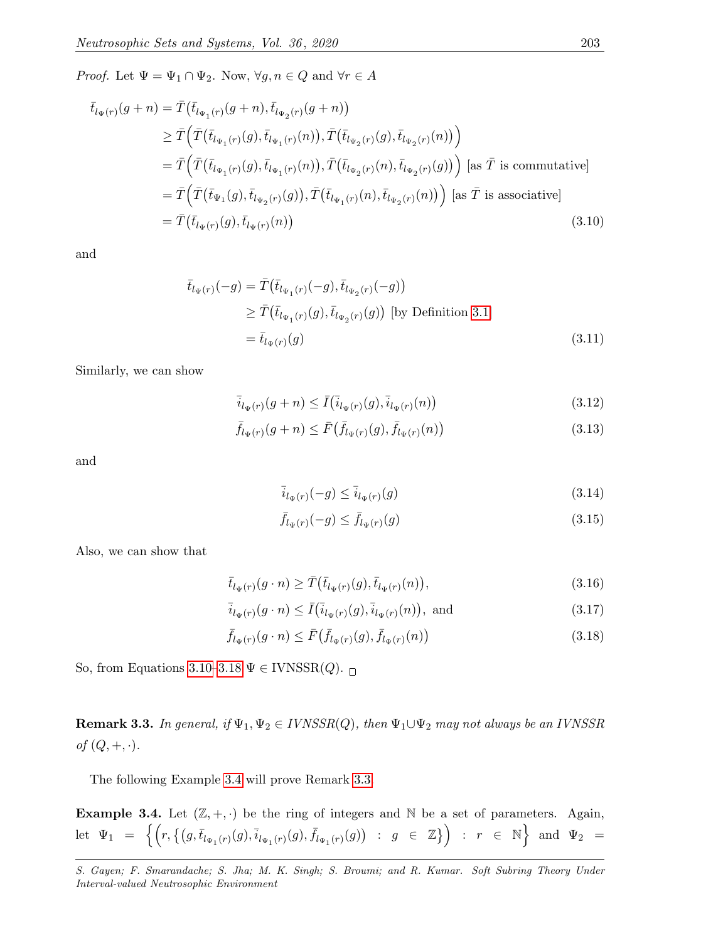*Proof.* Let  $\Psi = \Psi_1 \cap \Psi_2$ . Now,  $\forall g, n \in Q$  and  $\forall r \in A$ 

$$
\bar{t}_{l_{\Psi}(r)}(g+n) = \bar{T}(\bar{t}_{l_{\Psi_1}(r)}(g+n), \bar{t}_{l_{\Psi_2}(r)}(g+n))
$$
\n
$$
\geq \bar{T}(\bar{T}(\bar{t}_{l_{\Psi_1}(r)}(g), \bar{t}_{l_{\Psi_1}(r)}(n)), \bar{T}(\bar{t}_{l_{\Psi_2}(r)}(g), \bar{t}_{l_{\Psi_2}(r)}(n)))
$$
\n
$$
= \bar{T}(\bar{T}(\bar{t}_{l_{\Psi_1}(r)}(g), \bar{t}_{l_{\Psi_1}(r)}(n)), \bar{T}(\bar{t}_{l_{\Psi_2}(r)}(n), \bar{t}_{l_{\Psi_2}(r)}(g))) \text{ [as } \bar{T} \text{ is commutative]}
$$
\n
$$
= \bar{T}(\bar{T}(\bar{t}_{\Psi_1}(g), \bar{t}_{l_{\Psi_2}(r)}(g)), \bar{T}(\bar{t}_{l_{\Psi_1}(r)}(n), \bar{t}_{l_{\Psi_2}(r)}(n))) \text{ [as } \bar{T} \text{ is associative]}
$$
\n
$$
= \bar{T}(\bar{t}_{l_{\Psi}(r)}(g), \bar{t}_{l_{\Psi}(r)}(n)) \tag{3.10}
$$

and

$$
\bar{t}_{l_{\Psi}(r)}(-g) = \bar{T}(\bar{t}_{l_{\Psi_1}(r)}(-g), \bar{t}_{l_{\Psi_2}(r)}(-g))
$$
\n
$$
\geq \bar{T}(\bar{t}_{l_{\Psi_1}(r)}(g), \bar{t}_{l_{\Psi_2}(r)}(g)) \text{ [by Definition 3.1]}
$$
\n
$$
= \bar{t}_{l_{\Psi}(r)}(g) \tag{3.11}
$$

Similarly, we can show

<span id="page-10-0"></span>
$$
\bar{i}_{l_{\Psi}(r)}(g+n) \le \bar{I}(\bar{i}_{l_{\Psi}(r)}(g), \bar{i}_{l_{\Psi}(r)}(n))
$$
\n(3.12)

$$
\bar{f}_{l_{\Psi}(r)}(g+n) \le \bar{F}(\bar{f}_{l_{\Psi}(r)}(g), \bar{f}_{l_{\Psi}(r)}(n)) \tag{3.13}
$$

and

$$
\overline{i}_{l_{\Psi}(r)}(-g) \le \overline{i}_{l_{\Psi}(r)}(g) \tag{3.14}
$$

<span id="page-10-1"></span>
$$
\bar{f}_{l_{\Psi}(r)}(-g) \le \bar{f}_{l_{\Psi}(r)}(g) \tag{3.15}
$$

Also, we can show that

$$
\bar{t}_{l_{\Psi}(r)}(g \cdot n) \ge \bar{T}(\bar{t}_{l_{\Psi}(r)}(g), \bar{t}_{l_{\Psi}(r)}(n)),\tag{3.16}
$$

$$
\bar{i}_{l_{\Psi}(r)}(g \cdot n) \le \bar{I}(\bar{i}_{l_{\Psi}(r)}(g), \bar{i}_{l_{\Psi}(r)}(n)),
$$
 and (3.17)

$$
\bar{f}_{l_{\Psi}(r)}(g \cdot n) \le \bar{F}(\bar{f}_{l_{\Psi}(r)}(g), \bar{f}_{l_{\Psi}(r)}(n))
$$
\n(3.18)

So, from Equations [3.10–](#page-10-0)[3.18](#page-10-1)  $\Psi \in \text{IVNSSR}(Q)$ .

<span id="page-10-3"></span>**Remark 3.3.** In general, if  $\Psi_1, \Psi_2 \in IVNSSR(Q)$ , then  $\Psi_1 \cup \Psi_2$  may not always be an IVNSSR of  $(Q, +, \cdot)$ .

The following Example [3.4](#page-10-2) will prove Remark [3.3.](#page-10-3)

<span id="page-10-2"></span>**Example 3.4.** Let  $(\mathbb{Z}, +, \cdot)$  be the ring of integers and N be a set of parameters. Again,  $\det \;\; \Psi_1 \;\; = \;\; \Big\{ \Big( r, \big\{ \big( g, \bar{t}_{l_{\Psi_1}(r)}(g), \bar{t}_{l_{\Psi_1}(r)}(g), \bar{f}_{l_{\Psi_1}(r)}(g) \big) \;\; : \;\; g \;\; \in \;\; \mathbb{Z} \big\} \Big) \;\; : \;\; r \;\; \in \;\; \mathbb{N} \Big\} \;\; \text{and} \;\; \Psi_2 \;\; = \;\; \text{and} \;\; \Psi_3 \;\; = \;\; \text{and} \;\; \Psi_4 \;\; = \;\; \text{and} \;\; \Psi_5 \;\; = \$ 

S. Gayen; F. Smarandache; S. Jha; M. K. Singh; S. Broumi; and R. Kumar. Soft Subring Theory Under Interval-valued Neutrosophic Environment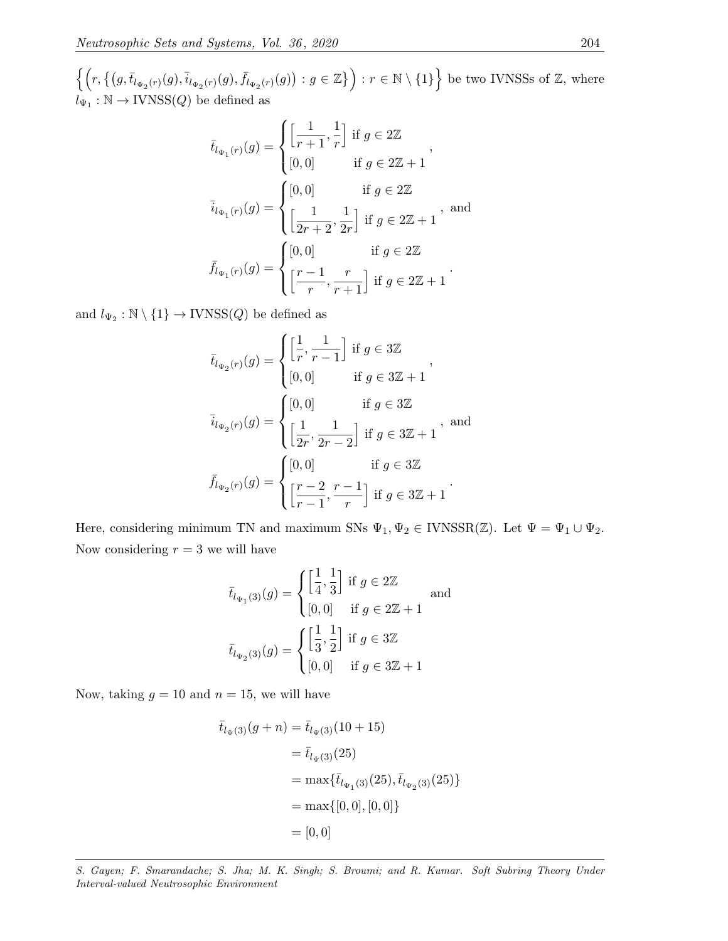$\left\{ \left( r, \left\{ (g,\overline{t}_{l_{\Psi_2}(r)}(g),\overline{i}_{l_{\Psi_2}(r)}(g),\overline{f}_{l_{\Psi_2}(r)}(g) \right) : g \in \mathbb{Z} \right\} \right) : r \in \mathbb{N} \setminus \{1\} \right\}$  be two IVNSSs of  $\mathbb{Z}$ , where  $l_{\Psi_1}: \mathbb{N} \to \text{IVNSS}(Q)$  be defined as

$$
\bar{t}_{l_{\Psi_1}(r)}(g) = \begin{cases}\n\left[\frac{1}{r+1}, \frac{1}{r}\right] \text{ if } g \in 2\mathbb{Z} \\
[0,0] \text{ if } g \in 2\mathbb{Z} + 1\n\end{cases},
$$
\n
$$
\bar{i}_{l_{\Psi_1}(r)}(g) = \begin{cases}\n[0,0] \text{ if } g \in 2\mathbb{Z} \\
\left[\frac{1}{2r+2}, \frac{1}{2r}\right] \text{ if } g \in 2\mathbb{Z} + 1\n\end{cases}, \text{ and}
$$
\n
$$
\bar{f}_{l_{\Psi_1}(r)}(g) = \begin{cases}\n[0,0] \text{ if } g \in 2\mathbb{Z} \\
\left[\frac{r-1}{r}, \frac{r}{r+1}\right] \text{ if } g \in 2\mathbb{Z} + 1\n\end{cases}.
$$

and  $l_{\Psi_2} : \mathbb{N} \setminus \{1\} \to \text{IVNSS}(Q)$  be defined as

$$
\bar{t}_{l_{\Psi_2}(r)}(g) = \begin{cases}\n\left[\frac{1}{r}, \frac{1}{r-1}\right] \text{ if } g \in 3\mathbb{Z} \\
[0, 0] & \text{ if } g \in 3\mathbb{Z} + 1\n\end{cases},
$$
\n
$$
\bar{i}_{l_{\Psi_2}(r)}(g) = \begin{cases}\n[0, 0] & \text{ if } g \in 3\mathbb{Z} \\
\left[\frac{1}{2r}, \frac{1}{2r-2}\right] \text{ if } g \in 3\mathbb{Z} + 1\n\end{cases}, \text{ and}
$$
\n
$$
\bar{f}_{l_{\Psi_2}(r)}(g) = \begin{cases}\n[0, 0] & \text{ if } g \in 3\mathbb{Z} \\
\left[\frac{r-2}{r-1}, \frac{r-1}{r}\right] \text{ if } g \in 3\mathbb{Z} + 1\n\end{cases}.
$$

Here, considering minimum TN and maximum SNs  $\Psi_1, \Psi_2 \in \text{IVNSSR}(\mathbb{Z})$ . Let  $\Psi = \Psi_1 \cup \Psi_2$ . Now considering  $r = 3$  we will have

$$
\bar{t}_{l_{\Psi_1}(3)}(g) = \begin{cases} \left[\frac{1}{4}, \frac{1}{3}\right] \text{ if } g \in 2\mathbb{Z} \\ [0, 0] \quad \text{if } g \in 2\mathbb{Z} + 1 \end{cases} \text{ and }
$$

$$
\bar{t}_{l_{\Psi_2}(3)}(g) = \begin{cases} \left[\frac{1}{3}, \frac{1}{2}\right] \text{ if } g \in 3\mathbb{Z} \\ [0, 0] \quad \text{if } g \in 3\mathbb{Z} + 1 \end{cases}
$$

Now, taking  $g = 10$  and  $n = 15$ , we will have

$$
\bar{t}_{l_{\Psi}(3)}(g+n) = \bar{t}_{l_{\Psi}(3)}(10+15)
$$
  
=  $\bar{t}_{l_{\Psi}(3)}(25)$   
= max{ $\bar{t}_{l_{\Psi(3)}(25), \bar{t}_{l_{\Psi(3)}(25)}$ }  
= max{[0,0],[0,0]}  
= [0,0]

S. Gayen; F. Smarandache; S. Jha; M. K. Singh; S. Broumi; and R. Kumar. Soft Subring Theory Under Interval-valued Neutrosophic Environment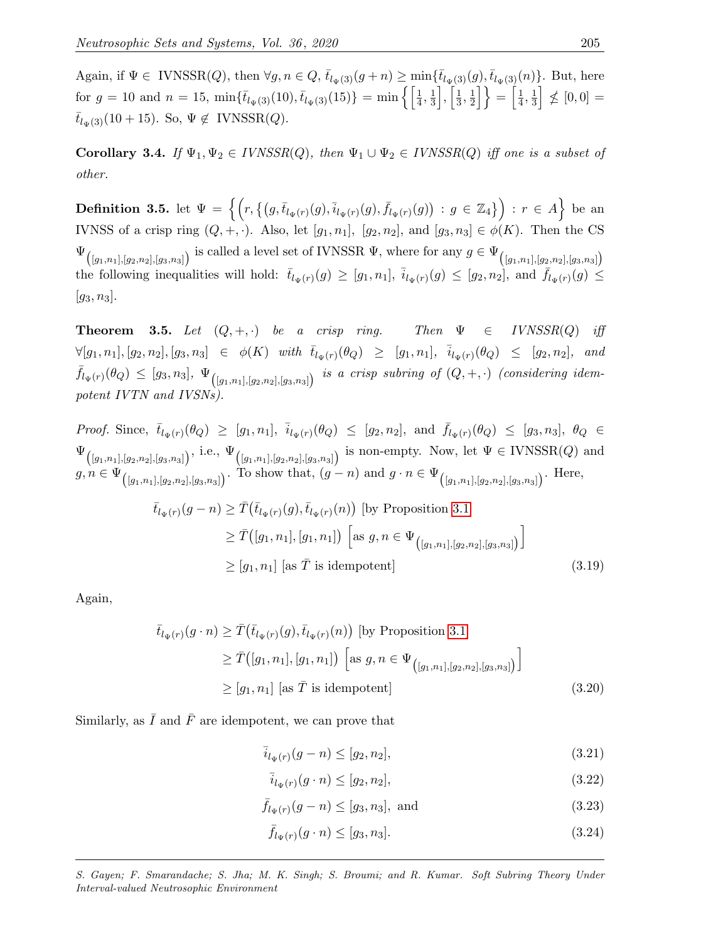Again, if  $\Psi \in \text{IVNSSR}(Q)$ , then  $\forall g, n \in Q$ ,  $\bar{t}_{l_{\Psi}(3)}(g+n) \ge \min{\{\bar{t}_{l_{\Psi}(3)}(g), \bar{t}_{l_{\Psi}(3)}(n)\}}$ . But, here for  $g = 10$  and  $n = 15$ ,  $\min{\{\bar{t}_{l_{\Psi}(3)}(10), \bar{t}_{l_{\Psi}(3)}(15)\}} = \min{\{\frac{1}{4}, \frac{1}{3}\}}$  $\frac{1}{3}$ ,  $\Big[\frac{1}{3}$  $\frac{1}{3}, \frac{1}{2}$  $\left\lfloor \frac{1}{2} \right\rfloor \Big\} = \left\lceil \frac{1}{4} \right\rceil$  $\frac{1}{4}, \frac{1}{3}$  $\frac{1}{3}$   $\not\leq$   $[0,0]$  =  $\bar{t}_{l_{\Psi}(3)}(10+15)$ . So,  $\Psi \notin \text{IVNSSR}(Q)$ .

Corollary 3.4. If  $\Psi_1, \Psi_2 \in IVNSSR(Q)$ , then  $\Psi_1 \cup \Psi_2 \in IVNSSR(Q)$  iff one is a subset of other.

 $\textbf{Definition 3.5.} \text{ let } \Psi \,=\, \Big\{\Big(r, \big\{\big(g,\bar{t}_{l_{\Psi}(r)}(g),\bar{i}_{l_{\Psi}(r)}(g),\bar{f}_{l_{\Psi}(r)}(g)\big) \,:\, g \,\in\, \mathbb{Z}_4\big\}\Big) \,:\, r \,\in\, A \Big\} \,\,\text{be an}$ IVNSS of a crisp ring  $(Q, +, \cdot)$ . Also, let  $[g_1, n_1]$ ,  $[g_2, n_2]$ , and  $[g_3, n_3] \in \phi(K)$ . Then the CS  $\Psi_{([g_1,n_1],[g_2,n_2],[g_3,n_3])}$  is called a level set of IVNSSR  $\Psi$ , where for any  $g \in \Psi_{([g_1,n_1],[g_2,n_2],[g_3,n_3])}$ the following inequalities will hold:  $\bar{t}_{l_{\Psi}(r)}(g) \geq [g_1, n_1], \bar{i}_{l_{\Psi}(r)}(g) \leq [g_2, n_2],$  and  $\bar{f}_{l_{\Psi}(r)}(g) \leq$  $|g_3, n_3|$ .

<span id="page-12-2"></span>**Theorem 3.5.** Let  $(Q, +, \cdot)$  be a crisp ring. Then  $\Psi \in \textit{IVNSSR}(Q)$  iff  $\forall [g_1, n_1], [g_2, n_2], [g_3, n_3] \in \phi(K)$  with  $\overline{t}_{l_{\Psi}(r)}(\theta_Q) \geq [g_1, n_1], \overline{i}_{l_{\Psi}(r)}(\theta_Q) \leq [g_2, n_2],$  and  $\bar{f}_{l_{\Psi}(r)}(\theta_{Q}) \leq [g_3,n_3], \ \Psi_{\left([g_1,n_1],[g_2,n_2],[g_3,n_3]\right)} \ \ \textit{is a crisp subring of $(Q, +, \cdot)$} \ \ \textit{(considering idem-1)}$ potent IVTN and IVSNs).

Proof. Since,  $\bar{t}_{l_{\Psi}(r)}(\theta_Q) \geq [g_1, n_1], \bar{i}_{l_{\Psi}(r)}(\theta_Q) \leq [g_2, n_2],$  and  $\bar{f}_{l_{\Psi}(r)}(\theta_Q) \leq [g_3, n_3], \theta_Q \in$  $\Psi_{([g_1,n_1],[g_2,n_2],[g_3,n_3])}$ , i.e.,  $\Psi_{([g_1,n_1],[g_2,n_2],[g_3,n_3])}$  is non-empty. Now, let  $\Psi \in \text{IVNSSR}(Q)$  and  $g, n \in \Psi_{([g_1,n_1],[g_2,n_2],[g_3,n_3])}$ . To show that,  $(g-n)$  and  $g \cdot n \in \Psi_{([g_1,n_1],[g_2,n_2],[g_3,n_3])}$ . Here,

$$
\bar{t}_{l_{\Psi}(r)}(g-n) \geq \bar{T}(\bar{t}_{l_{\Psi}(r)}(g), \bar{t}_{l_{\Psi}(r)}(n)) \text{ [by Proposition 3.1]}
$$
\n
$$
\geq \bar{T}([g_1, n_1], [g_1, n_1]) \left[ \text{as } g, n \in \Psi_{([g_1, n_1], [g_2, n_2], [g_3, n_3]}) \right]
$$
\n
$$
\geq [g_1, n_1] \text{ [as } \bar{T} \text{ is idempotent]}
$$
\n(3.19)

Again,

$$
\bar{t}_{l_{\Psi}(r)}(g \cdot n) \geq \bar{T}(\bar{t}_{l_{\Psi}(r)}(g), \bar{t}_{l_{\Psi}(r)}(n)) \text{ [by Proposition 3.1]}
$$
\n
$$
\geq \bar{T}([g_1, n_1], [g_1, n_1]) \left[ \text{as } g, n \in \Psi_{([g_1, n_1], [g_2, n_2], [g_3, n_3] )} \right]
$$
\n
$$
\geq [g_1, n_1] \text{ [as } \bar{T} \text{ is idempotent]}
$$
\n(3.20)

Similarly, as  $\overline{I}$  and  $\overline{F}$  are idempotent, we can prove that

<span id="page-12-0"></span>
$$
\bar{i}_{l_{\Psi}(r)}(g-n) \le [g_2, n_2],\tag{3.21}
$$

$$
\bar{i}_{l_{\Psi}(r)}(g \cdot n) \le [g_2, n_2],\tag{3.22}
$$

$$
\bar{f}_{l_{\Psi}(r)}(g-n) \le [g_3, n_3], \text{ and } (3.23)
$$

<span id="page-12-1"></span>
$$
\bar{f}_{l_{\Psi}(r)}(g \cdot n) \le [g_3, n_3]. \tag{3.24}
$$

S. Gayen; F. Smarandache; S. Jha; M. K. Singh; S. Broumi; and R. Kumar. Soft Subring Theory Under Interval-valued Neutrosophic Environment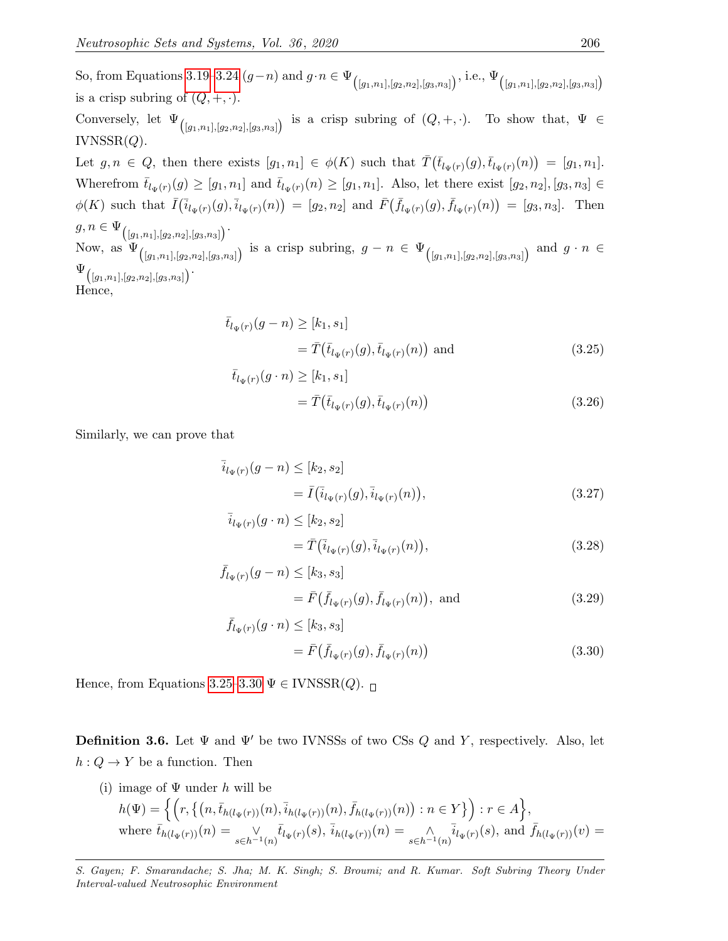So, from Equations [3.19–](#page-12-0)[3.24](#page-12-1)  $(g-n)$  and  $g \cdot n \in \Psi_{(g_1,n_1],[g_2,n_2],[g_3,n_3]}$ , i.e.,  $\Psi_{(g_1,n_1],[g_2,n_2],[g_3,n_3]}$ is a crisp subring of  $(Q, +, \cdot)$ . Conversely, let  $\Psi_{([g_1,n_1],[g_2,n_2],[g_3,n_3])}$  is a crisp subring of  $(Q, +, \cdot)$ . To show that,  $\Psi \in$  $IVNSSR(Q).$ Let  $g, n \in Q$ , then there exists  $[g_1, n_1] \in \phi(K)$  such that  $\overline{T}(\overline{t}_{l_{\Psi}(r)}(g), \overline{t}_{l_{\Psi}(r)}(n)) = [g_1, n_1]$ . Wherefrom  $\bar{t}_{l_{\Psi}(r)}(g) \geq [g_1, n_1]$  and  $\bar{t}_{l_{\Psi}(r)}(n) \geq [g_1, n_1]$ . Also, let there exist  $[g_2, n_2]$ ,  $[g_3, n_3] \in$  $\phi(K)$  such that  $\bar{I}(\bar{i}_{l_{\Psi}(r)}(g), \bar{i}_{l_{\Psi}(r)}(n)) = [g_2, n_2]$  and  $\bar{F}(\bar{f}_{l_{\Psi}(r)}(g), \bar{f}_{l_{\Psi}(r)}(n)) = [g_3, n_3]$ . Then  $g, n \in \Psi_{([g_1,n_1],[g_2,n_2],[g_3,n_3])}$ . Now, as  $\Psi_{([g_1,n_1],[g_2,n_2],[g_3,n_3])}$  is a crisp subring,  $g-n \in \Psi_{([g_1,n_1],[g_2,n_2],[g_3,n_3])}$  and  $g \cdot n \in$  $\Psi_{\big( [g_1,n_1], [g_2,n_2], [g_3,n_3] \big) }.$ Hence,

$$
\bar{t}_{l_{\Psi}(r)}(g-n) \geq [k_1, s_1] \n= \bar{T}(\bar{t}_{l_{\Psi}(r)}(g), \bar{t}_{l_{\Psi}(r)}(n)) \text{ and } (3.25)
$$

<span id="page-13-0"></span>
$$
\bar{t}_{l_{\Psi}(r)}(g \cdot n) \geq [k_1, s_1] \n= \bar{T}(\bar{t}_{l_{\Psi}(r)}(g), \bar{t}_{l_{\Psi}(r)}(n))
$$
\n(3.26)

Similarly, we can prove that

$$
\overline{i}_{l_{\Psi}(r)}(g-n) \leq [k_2, s_2] \n= \overline{I}(\overline{i}_{l_{\Psi}(r)}(g), \overline{i}_{l_{\Psi}(r)}(n)),
$$
\n(3.27)

$$
\bar{i}_{l_{\Psi}(r)}(g \cdot n) \leq [k_2, s_2] \n= \bar{T}(\bar{i}_{l_{\Psi}(r)}(g), \bar{i}_{l_{\Psi}(r)}(n)),
$$
\n(3.28)

$$
\bar{f}_{l_{\Psi}(r)}(g-n) \leq [k_3, s_3] \n= \bar{F}(\bar{f}_{l_{\Psi}(r)}(g), \bar{f}_{l_{\Psi}(r)}(n)), \text{ and } (3.29)
$$

<span id="page-13-1"></span>
$$
\bar{f}_{l_{\Psi}(r)}(g \cdot n) \leq [k_3, s_3] \n= \bar{F}(\bar{f}_{l_{\Psi}(r)}(g), \bar{f}_{l_{\Psi}(r)}(n))
$$
\n(3.30)

Hence, from Equations [3.25–](#page-13-0)[3.30](#page-13-1)  $\Psi \in \text{IVNSSR}(Q)$ .

**Definition 3.6.** Let  $\Psi$  and  $\Psi'$  be two IVNSSs of two CSs Q and Y, respectively. Also, let  $h: Q \to Y$  be a function. Then

(i) image of  $\Psi$  under h will be  $h(\Psi) = \Big\{ \Big( r, \big\{ \big(n, \bar{t}_{h(l_{\Psi}(r))}(n), \bar{i}_{h(l_{\Psi}(r))}(n), \bar{f}_{h(l_{\Psi}(r))}(n) \big): n \in Y \big\} \Big) : r \in A \Big\},$ where  $\bar{t}_{h(l_{\Psi}(r))}(n) = \frac{1}{s \in h^{-1}(n)} \bar{t}_{l_{\Psi}(r)}(s)$ ,  $\bar{i}_{h(l_{\Psi}(r))}(n) = \frac{1}{s \in h^{-1}(n)} \bar{i}_{l_{\Psi}(r)}(s)$ , and  $\bar{f}_{h(l_{\Psi}(r))}(v) =$ 

S. Gayen; F. Smarandache; S. Jha; M. K. Singh; S. Broumi; and R. Kumar. Soft Subring Theory Under Interval-valued Neutrosophic Environment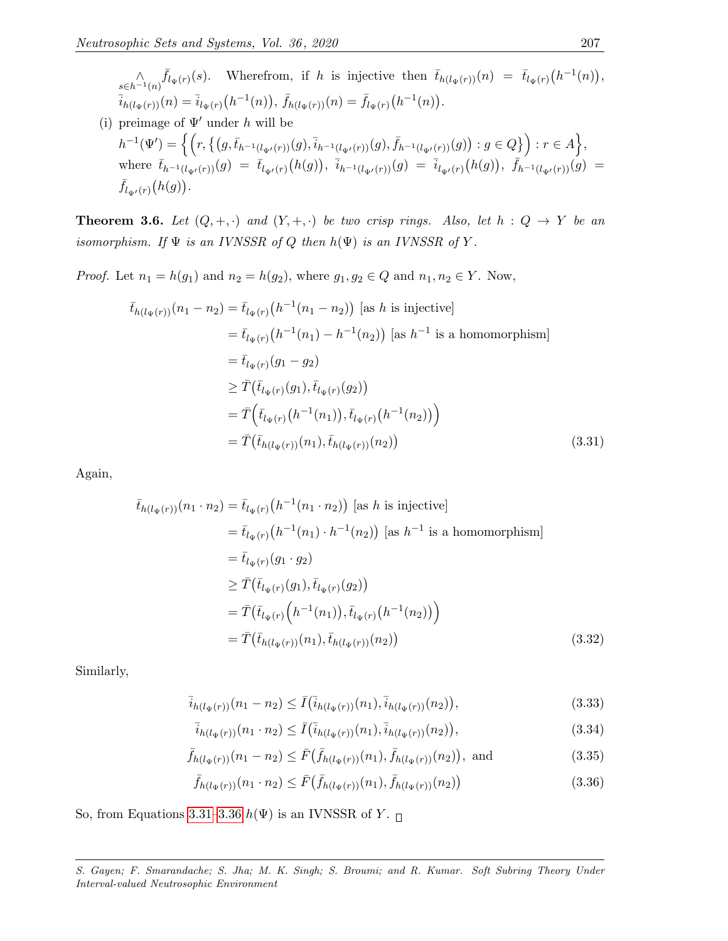$\bigwedge_{s\in h^{-1}(n)}\bar{f}_{\Psi(r)}(s)$ . Wherefrom, if h is injective then  $\bar{t}_{h(l_{\Psi}(r))}(n) = \bar{t}_{l_{\Psi}(r)}(h^{-1}(n)),$  $\overline{i}_{h(l_{\Psi}(r))}(n) = \overline{i}_{l_{\Psi}(r)}(h^{-1}(n)), \, \overline{f}_{h(l_{\Psi}(r))}(n) = \overline{f}_{l_{\Psi}(r)}(h^{-1}(n)).$ 

(i) preimage of  $\Psi'$  under h will be  $h^{-1}(\Psi')=\Big\{\Big(r,\big\{\big(g,\bar{t}_{h^{-1}(l_{\Psi'}(r))}(g),\bar{i}_{h^{-1}(l_{\Psi'}(r))}(g),\bar{f}_{h^{-1}(l_{\Psi'}(r))}(g)\big):g\in Q\big\}\Big):r\in A\Big\},$ where  $\bar{t}_{h^{-1}(l_{\Psi'}(r))}(g) = \bar{t}_{l_{\Psi'}(r)}(h(g)), \ \bar{i}_{h^{-1}(l_{\Psi'}(r))}(g) = \bar{i}_{l_{\Psi'}(r)}(h(g)), \ \bar{f}_{h^{-1}(l_{\Psi'}(r))}(g) =$  $\bar{f}_{l_{\Psi'}(r)}(h(g)).$ 

<span id="page-14-2"></span>**Theorem 3.6.** Let  $(Q, +, \cdot)$  and  $(Y, +, \cdot)$  be two crisp rings. Also, let  $h : Q \to Y$  be an isomorphism. If  $\Psi$  is an IVNSSR of Q then  $h(\Psi)$  is an IVNSSR of Y.

*Proof.* Let  $n_1 = h(g_1)$  and  $n_2 = h(g_2)$ , where  $g_1, g_2 \in Q$  and  $n_1, n_2 \in Y$ . Now,

$$
\bar{t}_{h(l_{\Psi}(r))}(n_{1} - n_{2}) = \bar{t}_{l_{\Psi}(r)}(h^{-1}(n_{1} - n_{2})) \text{ [as } h \text{ is injective]}
$$
\n
$$
= \bar{t}_{l_{\Psi}(r)}(h^{-1}(n_{1}) - h^{-1}(n_{2})) \text{ [as } h^{-1} \text{ is a homomorphism}]
$$
\n
$$
= \bar{t}_{l_{\Psi}(r)}(g_{1} - g_{2})
$$
\n
$$
\geq \bar{T}(\bar{t}_{l_{\Psi}(r)}(g_{1}), \bar{t}_{l_{\Psi}(r)}(g_{2}))
$$
\n
$$
= \bar{T}(\bar{t}_{l_{\Psi}(r)}(h^{-1}(n_{1})), \bar{t}_{l_{\Psi}(r)}(h^{-1}(n_{2})) )
$$
\n
$$
= \bar{T}(\bar{t}_{h(l_{\Psi}(r))}(n_{1}), \bar{t}_{h(l_{\Psi}(r))}(n_{2})) \tag{3.31}
$$

Again,

<span id="page-14-0"></span>
$$
\bar{t}_{h(l_{\Psi}(r))}(n_{1} \cdot n_{2}) = \bar{t}_{l_{\Psi}(r)}(h^{-1}(n_{1} \cdot n_{2})) \text{ [as } h \text{ is injective]}
$$
\n
$$
= \bar{t}_{l_{\Psi}(r)}(h^{-1}(n_{1}) \cdot h^{-1}(n_{2})) \text{ [as } h^{-1} \text{ is a homomorphism}]
$$
\n
$$
= \bar{t}_{l_{\Psi}(r)}(g_{1} \cdot g_{2})
$$
\n
$$
\geq \bar{T}(\bar{t}_{l_{\Psi}(r)}(g_{1}), \bar{t}_{l_{\Psi}(r)}(g_{2}))
$$
\n
$$
= \bar{T}(\bar{t}_{l_{\Psi}(r)}(h^{-1}(n_{1})), \bar{t}_{l_{\Psi}(r)}(h^{-1}(n_{2})) )
$$
\n
$$
= \bar{T}(\bar{t}_{h(l_{\Psi}(r))}(n_{1}), \bar{t}_{h(l_{\Psi}(r))}(n_{2})) \qquad (3.32)
$$

Similarly,

$$
\bar{i}_{h(l_{\Psi}(r))}(n_1 - n_2) \le \bar{I}(\bar{i}_{h(l_{\Psi}(r))}(n_1), \bar{i}_{h(l_{\Psi}(r))}(n_2)),
$$
\n(3.33)

$$
\bar{i}_{h(l_{\Psi}(r))}(n_1 \cdot n_2) \le \bar{I}(\bar{i}_{h(l_{\Psi}(r))}(n_1), \bar{i}_{h(l_{\Psi}(r))}(n_2)), \tag{3.34}
$$

$$
\bar{f}_{h(l_{\Psi}(r))}(n_1 - n_2) \leq \bar{F}(\bar{f}_{h(l_{\Psi}(r))}(n_1), \bar{f}_{h(l_{\Psi}(r))}(n_2)), \text{ and } (3.35)
$$

<span id="page-14-1"></span>
$$
\bar{f}_{h(l_{\Psi}(r))}(n_1 \cdot n_2) \le \bar{F}(\bar{f}_{h(l_{\Psi}(r))}(n_1), \bar{f}_{h(l_{\Psi}(r))}(n_2))
$$
\n(3.36)

So, from Equations [3.31–](#page-14-0)[3.36](#page-14-1)  $h(\Psi)$  is an IVNSSR of Y.  $\Box$ 

S. Gayen; F. Smarandache; S. Jha; M. K. Singh; S. Broumi; and R. Kumar. Soft Subring Theory Under Interval-valued Neutrosophic Environment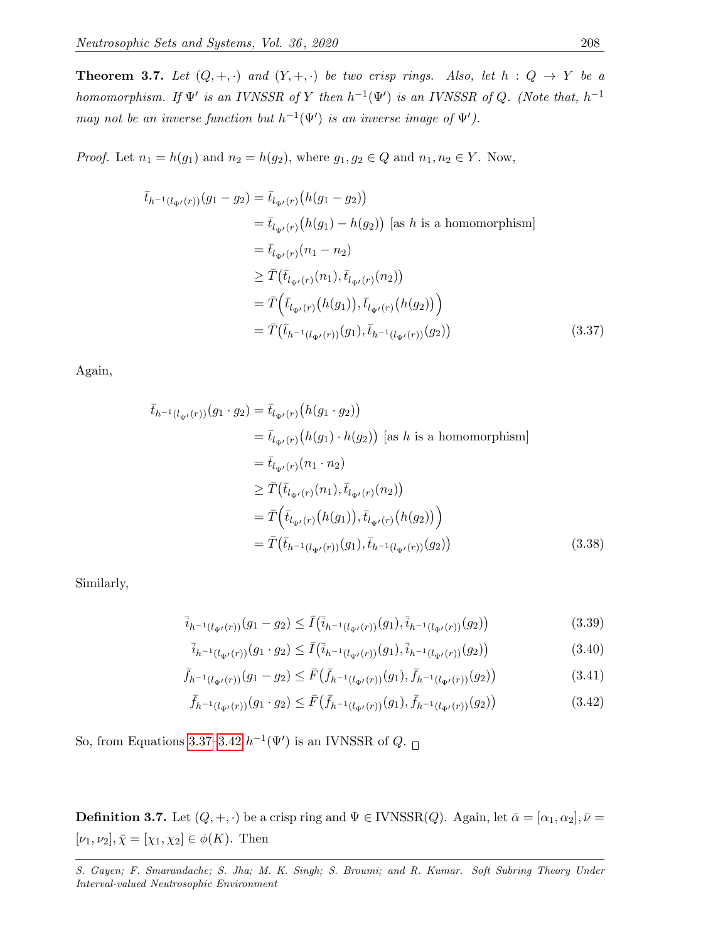**Theorem 3.7.** Let  $(Q, +, \cdot)$  and  $(Y, +, \cdot)$  be two crisp rings. Also, let  $h : Q \rightarrow Y$  be a homomorphism. If  $\Psi'$  is an IVNSSR of Y then  $h^{-1}(\Psi')$  is an IVNSSR of Q. (Note that,  $h^{-1}$ may not be an inverse function but  $h^{-1}(\Psi')$  is an inverse image of  $\Psi'$ ).

*Proof.* Let  $n_1 = h(g_1)$  and  $n_2 = h(g_2)$ , where  $g_1, g_2 \in Q$  and  $n_1, n_2 \in Y$ . Now,

$$
\bar{t}_{h^{-1}(l_{\Psi'}(r))}(g_1 - g_2) = \bar{t}_{l_{\Psi'}(r)}(h(g_1 - g_2))
$$
\n
$$
= \bar{t}_{l_{\Psi'}(r)}(h(g_1) - h(g_2)) \text{ [as } h \text{ is a homomorphism}]
$$
\n
$$
= \bar{t}_{l_{\Psi'}(r)}(n_1 - n_2)
$$
\n
$$
\geq \bar{T}(\bar{t}_{l_{\Psi'}(r)}(n_1), \bar{t}_{l_{\Psi'}(r)}(n_2))
$$
\n
$$
= \bar{T}(\bar{t}_{l_{\Psi'}(r)}(h(g_1)), \bar{t}_{l_{\Psi'}(r)}(h(g_2)) )
$$
\n
$$
= \bar{T}(\bar{t}_{h^{-1}(l_{\Psi'}(r))}(g_1), \bar{t}_{h^{-1}(l_{\Psi'}(r))}(g_2))
$$
\n(3.37)

Again,

<span id="page-15-0"></span>
$$
\bar{t}_{h^{-1}(l_{\Psi'}(r))}(g_1 \cdot g_2) = \bar{t}_{l_{\Psi'}(r)}(h(g_1 \cdot g_2))
$$
\n
$$
= \bar{t}_{l_{\Psi'}(r)}(h(g_1) \cdot h(g_2)) \text{ [as } h \text{ is a homomorphism}]
$$
\n
$$
= \bar{t}_{l_{\Psi'}(r)}(n_1 \cdot n_2)
$$
\n
$$
\geq \bar{T}(\bar{t}_{l_{\Psi'}(r)}(n_1), \bar{t}_{l_{\Psi'}(r)}(n_2))
$$
\n
$$
= \bar{T}(\bar{t}_{l_{\Psi'}(r)}(h(g_1)), \bar{t}_{l_{\Psi'}(r)}(h(g_2)) )
$$
\n
$$
= \bar{T}(\bar{t}_{h^{-1}(l_{\Psi'}(r))}(g_1), \bar{t}_{h^{-1}(l_{\Psi'}(r))}(g_2))
$$
\n(3.38)

Similarly,

$$
\overline{i}_{h^{-1}(l_{\Psi'}(r))}(g_1 - g_2) \le \overline{I}(\overline{i}_{h^{-1}(l_{\Psi'}(r))}(g_1), \overline{i}_{h^{-1}(l_{\Psi'}(r))}(g_2))
$$
\n(3.39)

$$
\bar{i}_{h^{-1}(l_{\Psi'}(r))}(g_1 \cdot g_2) \le \bar{I}(\bar{i}_{h^{-1}(l_{\Psi'}(r))}(g_1), \bar{i}_{h^{-1}(l_{\Psi'}(r))}(g_2))
$$
\n(3.40)

$$
\bar{f}_{h^{-1}(l_{\Psi'}(r))}(g_1 - g_2) \le \bar{F}(\bar{f}_{h^{-1}(l_{\Psi'}(r))}(g_1), \bar{f}_{h^{-1}(l_{\Psi'}(r))}(g_2))
$$
\n(3.41)

<span id="page-15-1"></span>
$$
\bar{f}_{h^{-1}(l_{\Psi'}(r))}(g_1 \cdot g_2) \le \bar{F}(\bar{f}_{h^{-1}(l_{\Psi'}(r))}(g_1), \bar{f}_{h^{-1}(l_{\Psi'}(r))}(g_2))
$$
\n(3.42)

So, from Equations [3.37–](#page-15-0)[3.42](#page-15-1)  $h^{-1}(\Psi')$  is an IVNSSR of  $Q$ .

**Definition 3.7.** Let  $(Q, +, \cdot)$  be a crisp ring and  $\Psi \in \text{IVNSSR}(Q)$ . Again, let  $\bar{\alpha} = [\alpha_1, \alpha_2], \bar{\nu} =$  $[\nu_1, \nu_2], \bar{\chi} = [\chi_1, \chi_2] \in \phi(K)$ . Then

S. Gayen; F. Smarandache; S. Jha; M. K. Singh; S. Broumi; and R. Kumar. Soft Subring Theory Under Interval-valued Neutrosophic Environment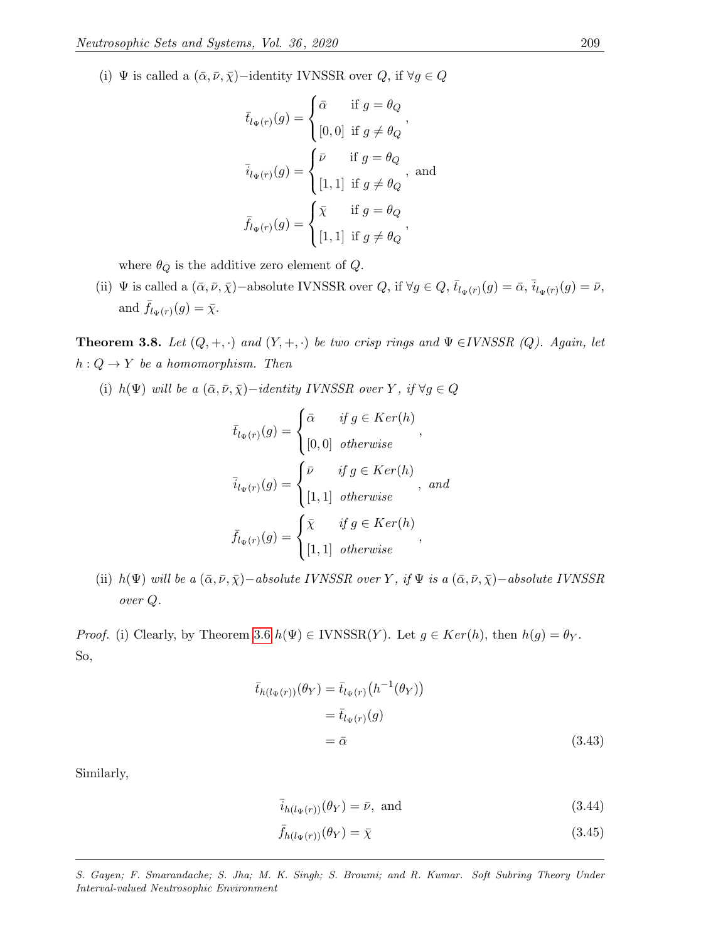(i) Ψ is called a  $(\bar{\alpha}, \bar{\nu}, \bar{\chi})$ -identity IVNSSR over  $Q$ , if  $\forall g \in Q$ 

$$
\bar{t}_{l_{\Psi}(r)}(g) = \begin{cases}\n\bar{\alpha} & \text{if } g = \theta_Q \\
[0,0] & \text{if } g \neq \theta_Q\n\end{cases},
$$
\n
$$
\bar{i}_{l_{\Psi}(r)}(g) = \begin{cases}\n\bar{\nu} & \text{if } g = \theta_Q \\
[1,1] & \text{if } g \neq \theta_Q\n\end{cases}, \text{ and}
$$
\n
$$
\bar{f}_{l_{\Psi}(r)}(g) = \begin{cases}\n\bar{\chi} & \text{if } g = \theta_Q \\
[1,1] & \text{if } g \neq \theta_Q\n\end{cases},
$$

where  $\theta_Q$  is the additive zero element of  $Q$ .

(ii)  $\Psi$  is called a  $(\bar{\alpha}, \bar{\nu}, \bar{\chi})$  –absolute IVNSSR over  $Q$ , if  $\forall g \in Q$ ,  $\bar{t}_{l_{\Psi}(r)}(g) = \bar{\alpha}, \bar{i}_{l_{\Psi}(r)}(g) = \bar{\nu}$ , and  $\bar{f}_{l_{\Psi}(r)}(g) = \bar{\chi}.$ 

**Theorem 3.8.** Let  $(Q, +, \cdot)$  and  $(Y, +, \cdot)$  be two crisp rings and  $\Psi \in IVNSSR$  (Q). Again, let  $h: Q \to Y$  be a homomorphism. Then

(i)  $h(\Psi)$  will be a  $(\bar{\alpha}, \bar{\nu}, \bar{\chi})-identity \ IVNSSR \ over \ Y, \ if \ \forall g \in Q$ 

$$
\bar{t}_{l_{\Psi}(r)}(g) = \begin{cases}\n\bar{\alpha} & \text{if } g \in Ker(h) \\
[0,0] & \text{otherwise}\n\end{cases},
$$
\n
$$
\bar{i}_{l_{\Psi}(r)}(g) = \begin{cases}\n\bar{\nu} & \text{if } g \in Ker(h) \\
[1,1] & \text{otherwise}\n\end{cases}, and
$$
\n
$$
\bar{f}_{l_{\Psi}(r)}(g) = \begin{cases}\n\bar{\chi} & \text{if } g \in Ker(h) \\
[1,1] & \text{otherwise}\n\end{cases},
$$

(ii) h(Ψ) will be a  $(\bar{\alpha}, \bar{\nu}, \bar{\chi})$  –absolute IVNSSR over Y, if  $\Psi$  is a  $(\bar{\alpha}, \bar{\nu}, \bar{\chi})$  –absolute IVNSSR over Q.

*Proof.* (i) Clearly, by Theorem [3.6](#page-14-2)  $h(\Psi) \in \text{IVNSSR}(Y)$ . Let  $g \in \text{Ker}(h)$ , then  $h(g) = \theta_Y$ . So,

$$
\bar{t}_{h(l_{\Psi}(r))}(\theta_{Y}) = \bar{t}_{l_{\Psi}(r)}(h^{-1}(\theta_{Y}))
$$
\n
$$
= \bar{t}_{l_{\Psi}(r)}(g)
$$
\n
$$
= \bar{\alpha}
$$
\n(3.43)

Similarly,

<span id="page-16-0"></span>
$$
\bar{i}_{h(l_{\Psi}(r))}(\theta_{Y}) = \bar{\nu}, \text{ and}
$$
\n(3.44)

$$
\bar{f}_{h(l_{\Psi}(r))}(\theta_Y) = \bar{\chi} \tag{3.45}
$$

S. Gayen; F. Smarandache; S. Jha; M. K. Singh; S. Broumi; and R. Kumar. Soft Subring Theory Under Interval-valued Neutrosophic Environment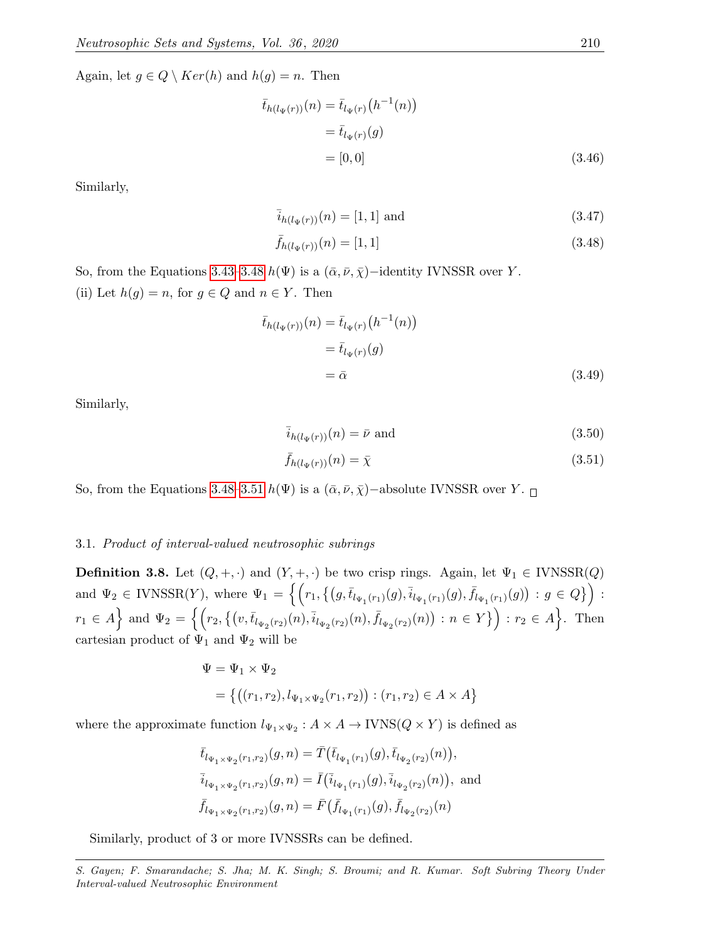Again, let  $g \in Q \setminus Ker(h)$  and  $h(g) = n$ . Then

$$
\bar{t}_{h(l_{\Psi}(r))}(n) = \bar{t}_{l_{\Psi}(r)}(h^{-1}(n))
$$
  
=  $\bar{t}_{l_{\Psi}(r)}(g)$   
= [0, 0] (3.46)

Similarly,

<span id="page-17-0"></span>
$$
\bar{i}_{h(l_{\Psi}(r))}(n) = [1, 1] \text{ and } (3.47)
$$

$$
\bar{f}_{h(l_{\Psi}(r))}(n) = [1, 1] \tag{3.48}
$$

So, from the Equations [3.43–](#page-16-0)[3.48](#page-17-0)  $h(\Psi)$  is a  $(\bar{\alpha}, \bar{\nu}, \bar{\chi})$ –identity IVNSSR over Y. (ii) Let  $h(g) = n$ , for  $g \in Q$  and  $n \in Y$ . Then

$$
\bar{t}_{h(l_{\Psi}(r))}(n) = \bar{t}_{l_{\Psi}(r)}(h^{-1}(n))
$$
\n
$$
= \bar{t}_{l_{\Psi}(r)}(g)
$$
\n
$$
= \bar{\alpha}
$$
\n(3.49)

Similarly,

<span id="page-17-1"></span>
$$
\bar{i}_{h(l_{\Psi}(r))}(n) = \bar{\nu} \text{ and } (3.50)
$$

$$
\bar{f}_{h(l_{\Psi}(r))}(n) = \bar{\chi} \tag{3.51}
$$

So, from the Equations [3.48–](#page-17-0)[3.51](#page-17-1)  $h(\Psi)$  is a  $(\bar{\alpha}, \bar{\nu}, \bar{\chi})$ −absolute IVNSSR over Y.  $\Box$ 

# 3.1. Product of interval-valued neutrosophic subrings

**Definition 3.8.** Let  $(Q, +, \cdot)$  and  $(Y, +, \cdot)$  be two crisp rings. Again, let  $\Psi_1 \in \text{IVNSSR}(Q)$ and  $\Psi_2 \in \text{IVNSSR}(Y)$ , where  $\Psi_1 = \left\{ \left( r_1, \left\{ (g, \bar{t}_{l_{\Psi_1}(r_1)}(g), \bar{t}_{l_{\Psi_1}(r_1)}(g), \bar{f}_{l_{\Psi_1}(r_1)}(g) \right) : g \in Q \right\} \right) :$  $r_1 \in A$  and  $\Psi_2 = \left\{ \left( r_2, \left\{ (v, \bar{t}_{l_{\Psi_2}(r_2)}(n), \bar{t}_{l_{\Psi_2}(r_2)}(n), \bar{f}_{l_{\Psi_2}(r_2)}(n) \right) : n \in Y \right\} \right) : r_2 \in A \right\}$ . Then cartesian product of  $\Psi_1$  and  $\Psi_2$  will be

$$
\Psi = \Psi_1 \times \Psi_2
$$
  
= { ((r<sub>1</sub>, r<sub>2</sub>), l<sub>\Psi\_1 \times \Psi\_2</sub>(r<sub>1</sub>, r<sub>2</sub>)) : (r<sub>1</sub>, r<sub>2</sub>)  $\in A \times A }$ 

where the approximate function  $l_{\Psi_1 \times \Psi_2} : A \times A \to \text{IVNS}(Q \times Y)$  is defined as

$$
\bar{t}_{l_{\Psi_1 \times \Psi_2}(r_1, r_2)}(g, n) = \bar{T}(\bar{t}_{l_{\Psi_1}(r_1)}(g), \bar{t}_{l_{\Psi_2}(r_2)}(n)),
$$
\n
$$
\bar{i}_{l_{\Psi_1 \times \Psi_2}(r_1, r_2)}(g, n) = \bar{I}(\bar{i}_{l_{\Psi_1}(r_1)}(g), \bar{i}_{l_{\Psi_2}(r_2)}(n)),
$$
 and\n
$$
\bar{f}_{l_{\Psi_1 \times \Psi_2}(r_1, r_2)}(g, n) = \bar{F}(\bar{f}_{l_{\Psi_1}(r_1)}(g), \bar{f}_{l_{\Psi_2}(r_2)}(n))
$$

Similarly, product of 3 or more IVNSSRs can be defined.

S. Gayen; F. Smarandache; S. Jha; M. K. Singh; S. Broumi; and R. Kumar. Soft Subring Theory Under Interval-valued Neutrosophic Environment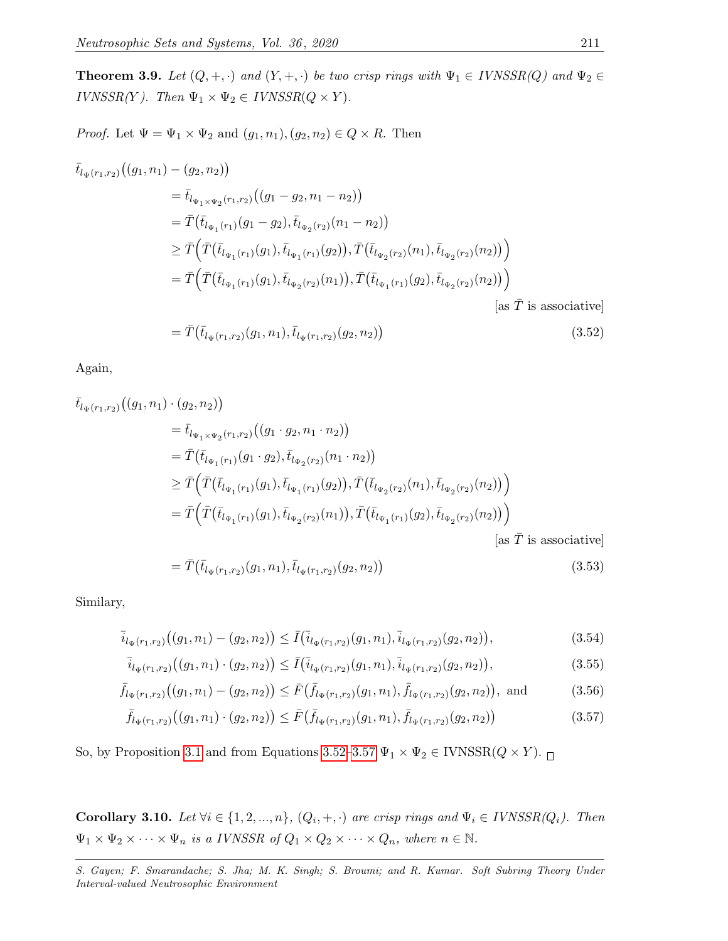**Theorem 3.9.** Let  $(Q, +, \cdot)$  and  $(Y, +, \cdot)$  be two crisp rings with  $\Psi_1 \in IVNSSR(Q)$  and  $\Psi_2 \in$ IVNSSR(Y). Then  $\Psi_1 \times \Psi_2 \in IVNSSR(Q \times Y)$ .

*Proof.* Let  $\Psi = \Psi_1 \times \Psi_2$  and  $(g_1, n_1), (g_2, n_2) \in Q \times R$ . Then

$$
\begin{split}\n\bar{t}_{l_{\Psi}(r_{1},r_{2})}((g_{1},n_{1}) - (g_{2},n_{2})) \\
&= \bar{t}_{l_{\Psi_{1}\times\Psi_{2}}(r_{1},r_{2})}((g_{1}-g_{2},n_{1}-n_{2})) \\
&= \bar{T}(\bar{t}_{l_{\Psi_{1}}(r_{1})}(g_{1}-g_{2}),\bar{t}_{l_{\Psi_{2}}(r_{2})}(n_{1}-n_{2})) \\
&\geq \bar{T}\Big(\bar{T}(\bar{t}_{l_{\Psi_{1}}(r_{1})}(g_{1}),\bar{t}_{l_{\Psi_{1}}(r_{1})}(g_{2})),\bar{T}(\bar{t}_{l_{\Psi_{2}}(r_{2})}(n_{1}),\bar{t}_{l_{\Psi_{2}}(r_{2})}(n_{2}))\Big) \\
&= \bar{T}\Big(\bar{T}(\bar{t}_{l_{\Psi_{1}}(r_{1})}(g_{1}),\bar{t}_{l_{\Psi_{2}}(r_{2})}(n_{1})),\bar{T}(\bar{t}_{l_{\Psi_{1}}(r_{1})}(g_{2}),\bar{t}_{l_{\Psi_{2}}(r_{2})}(n_{2}))\Big) \\
&= \bar{T}\Big(\bar{t}_{l_{\Psi}(r_{1},r_{2})}(g_{1},n_{1}),\bar{t}_{l_{\Psi}(r_{1},r_{2})}(g_{2},n_{2})\Big)\end{split} \tag{3.52}
$$

Again,

$$
\begin{split}\n\bar{t}_{l_{\Psi}(r_{1},r_{2})}((g_{1},n_{1})\cdot(g_{2},n_{2})) \\
&= \bar{t}_{l_{\Psi_{1}\times\Psi_{2}}(r_{1},r_{2})}((g_{1}\cdot g_{2},n_{1}\cdot n_{2})) \\
&= \bar{T}(\bar{t}_{l_{\Psi_{1}}(r_{1})}(g_{1}\cdot g_{2}),\bar{t}_{l_{\Psi_{2}}(r_{2})}(n_{1}\cdot n_{2})) \\
&\geq \bar{T}\Big(\bar{T}(\bar{t}_{l_{\Psi_{1}}(r_{1})}(g_{1}),\bar{t}_{l_{\Psi_{1}}(r_{1})}(g_{2})),\bar{T}(\bar{t}_{l_{\Psi_{2}}(r_{2})}(n_{1}),\bar{t}_{l_{\Psi_{2}}(r_{2})}(n_{2}))\Big) \\
&= \bar{T}\Big(\bar{T}(\bar{t}_{l_{\Psi_{1}}(r_{1})}(g_{1}),\bar{t}_{l_{\Psi_{2}}(r_{2})}(n_{1})),\bar{T}(\bar{t}_{l_{\Psi_{1}}(r_{1})}(g_{2}),\bar{t}_{l_{\Psi_{2}}(r_{2})}(n_{2}))\Big) \\
&\text{[as }\bar{T}\text{ is associative]}\n\end{split}
$$

<span id="page-18-1"></span><span id="page-18-0"></span> $= \bar{T}(\bar{t}_{l_{\Psi}(r_1,r_2)}(g_1,n_1),\bar{t}_{l_{\Psi}(r_1,r_2)}(g_2,n_2))$ (3.53)

Similary,

$$
\bar{i}_{l_{\Psi}(r_1,r_2)}\big((g_1,n_1)-(g_2,n_2)\big) \le \bar{I}\big(\bar{i}_{l_{\Psi}(r_1,r_2)}(g_1,n_1),\bar{i}_{l_{\Psi}(r_1,r_2)}(g_2,n_2)\big),\tag{3.54}
$$

$$
\bar{i}_{l_{\Psi}(r_1,r_2)}((g_1,n_1)\cdot(g_2,n_2)) \le \bar{I}(\bar{i}_{l_{\Psi}(r_1,r_2)}(g_1,n_1),\bar{i}_{l_{\Psi}(r_1,r_2)}(g_2,n_2)),\tag{3.55}
$$

$$
\bar{f}_{l_{\Psi}(r_1,r_2)}\big((g_1,n_1)-(g_2,n_2)\big) \leq \bar{F}\big(\bar{f}_{l_{\Psi}(r_1,r_2)}(g_1,n_1),\bar{f}_{l_{\Psi}(r_1,r_2)}(g_2,n_2)\big), \text{ and } (3.56)
$$

$$
\bar{f}_{l_{\Psi}(r_1,r_2)}\big((g_1,n_1)\cdot(g_2,n_2)\big) \leq \bar{F}\big(\bar{f}_{l_{\Psi}(r_1,r_2)}(g_1,n_1),\bar{f}_{l_{\Psi}(r_1,r_2)}(g_2,n_2)\big) \tag{3.57}
$$

So, by Proposition [3.1](#page-8-2) and from Equations [3.52–](#page-18-0)[3.57](#page-18-1)  $\Psi_1 \times \Psi_2 \in \text{IVNSSR}(Q \times Y)$ .

**Corollary 3.10.** Let  $\forall i \in \{1, 2, ..., n\}$ ,  $(Q_i, +, \cdot)$  are crisp rings and  $\Psi_i \in IVNSSR(Q_i)$ . Then  $\Psi_1 \times \Psi_2 \times \cdots \times \Psi_n$  is a IVNSSR of  $Q_1 \times Q_2 \times \cdots \times Q_n$ , where  $n \in \mathbb{N}$ .

S. Gayen; F. Smarandache; S. Jha; M. K. Singh; S. Broumi; and R. Kumar. Soft Subring Theory Under Interval-valued Neutrosophic Environment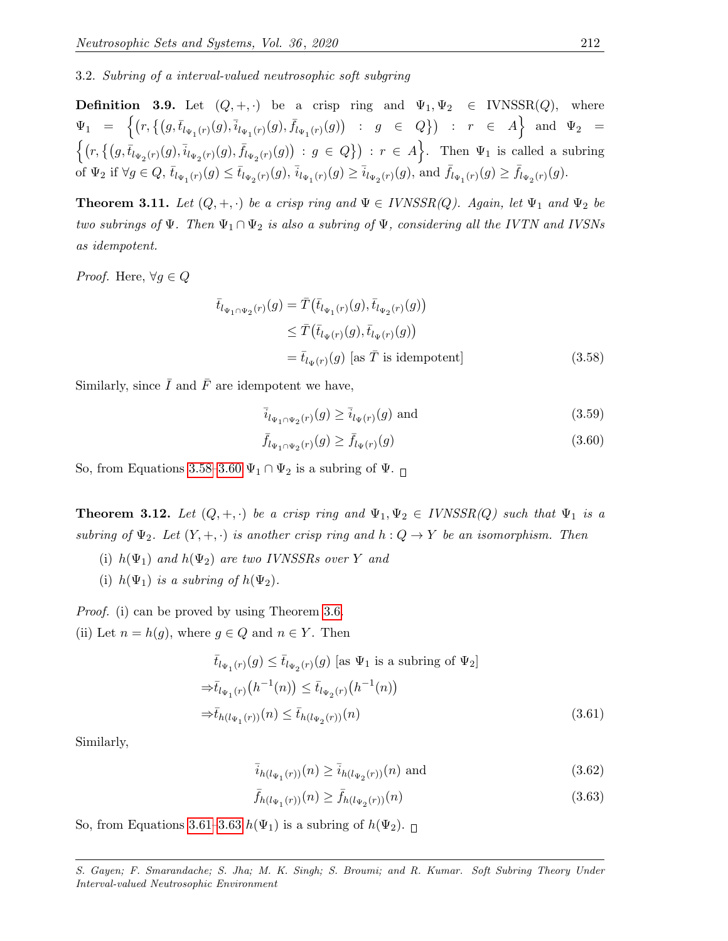3.2. Subring of a interval-valued neutrosophic soft subgring

**Definition 3.9.** Let  $(Q, +, \cdot)$  be a crisp ring and  $\Psi_1, \Psi_2 \in \text{IVNSSR}(Q)$ , where  $\Psi_1 \;\; = \;\; \Big\{ \big( r, \big\{ \big( g, \bar{t}_{l_{\Psi_1}(r)}(g), \bar{t}_{l_{\Psi_1}(r)}(g), \bar{f}_{l_{\Psi_1}(r)}(g) \big) \;\; : \;\; g \;\; \in \;\; Q \big\} \big) \;\; : \;\; r \;\; \in \;\; A \Big\} \;\; \text{ and } \;\; \Psi_2 \;\; = \;\; \Big\{ \big( r, \big\{ \big( g, \bar{t}_{l_{\Psi_1}(r)}(g), \bar{t}_{l_{\Psi_1}(r)}(g), \bar{f}_{l_{\Psi_1}(r)}(g) \$  $\{(r, \{(g, \bar{t}_{l_{\Psi_2}(r)}(g), \bar{i}_{l_{\Psi_2}(r)}(g), \bar{f}_{l_{\Psi_2}(r)}(g)) : g \in Q\}) : r \in A\}$ . Then  $\Psi_1$  is called a subring  $\overline{\text{of }\Psi_2$ if }\forall g \in Q, \, \overline{t}_{l_{\Psi_1}(r)}(g) \leq \overline{t}_{l_{\Psi_2}(r)}(g), \, \overline{i}_{l_{\Psi_1}(r)}(g) \geq \overline{i}_{l_{\Psi_2}(r)}(g), \text{ and } \overline{f}_{l_{\Psi_1}(r)}(g) \geq \overline{f}_{l_{\Psi_2}(r)}(g).$ 

**Theorem 3.11.** Let  $(Q, +, \cdot)$  be a crisp ring and  $\Psi \in IVNSSR(Q)$ . Again, let  $\Psi_1$  and  $\Psi_2$  be two subrings of  $\Psi$ . Then  $\Psi_1 \cap \Psi_2$  is also a subring of  $\Psi$ , considering all the IVTN and IVSNs as idempotent.

*Proof.* Here,  $\forall g \in Q$ 

$$
\begin{aligned}\n\bar{t}_{l_{\Psi_1 \cap \Psi_2}(r)}(g) &= \bar{T}(\bar{t}_{l_{\Psi_1}(r)}(g), \bar{t}_{l_{\Psi_2}(r)}(g)) \\
&\leq \bar{T}(\bar{t}_{l_{\Psi}(r)}(g), \bar{t}_{l_{\Psi}(r)}(g)) \\
&= \bar{t}_{l_{\Psi}(r)}(g) \text{ [as } \bar{T} \text{ is idempotent]} \n\end{aligned} \tag{3.58}
$$

Similarly, since  $\overline{I}$  and  $\overline{F}$  are idempotent we have,

<span id="page-19-1"></span><span id="page-19-0"></span>
$$
\overline{i}_{l_{\Psi_1 \cap \Psi_2}(r)}(g) \ge \overline{i}_{l_{\Psi}(r)}(g) \text{ and } \tag{3.59}
$$

$$
\bar{f}_{l_{\Psi_1 \cap \Psi_2}(r)}(g) \ge \bar{f}_{l_{\Psi}(r)}(g) \tag{3.60}
$$

So, from Equations [3.58–](#page-19-0)[3.60](#page-19-1)  $\Psi_1 \cap \Psi_2$  is a subring of  $\Psi$ .

**Theorem 3.12.** Let  $(Q, +, \cdot)$  be a crisp ring and  $\Psi_1, \Psi_2 \in IVNSSR(Q)$  such that  $\Psi_1$  is a subring of  $\Psi_2$ . Let  $(Y, +, \cdot)$  is another crisp ring and  $h: Q \to Y$  be an isomorphism. Then

- (i)  $h(\Psi_1)$  and  $h(\Psi_2)$  are two IVNSSRs over Y and
- (i)  $h(\Psi_1)$  is a subring of  $h(\Psi_2)$ .

Proof. (i) can be proved by using Theorem [3.6.](#page-14-2)

(ii) Let  $n = h(g)$ , where  $g \in Q$  and  $n \in Y$ . Then

$$
\begin{aligned}\n\bar{t}_{l_{\Psi_1}(r)}(g) &\leq \bar{t}_{l_{\Psi_2}(r)}(g) \text{ [as } \Psi_1 \text{ is a subring of } \Psi_2] \\
&\Rightarrow \bar{t}_{l_{\Psi_1}(r)}\big(h^{-1}(n)\big) \leq \bar{t}_{l_{\Psi_2}(r)}\big(h^{-1}(n)\big) \\
&\Rightarrow \bar{t}_{h(l_{\Psi_1}(r))}(n) \leq \bar{t}_{h(l_{\Psi_2}(r))}(n)\n\end{aligned} \tag{3.61}
$$

Similarly,

<span id="page-19-2"></span>
$$
\bar{i}_{h(l_{\Psi_1}(r))}(n) \ge \bar{i}_{h(l_{\Psi_2}(r))}(n)
$$
 and (3.62)

<span id="page-19-3"></span>
$$
\bar{f}_{h(l_{\Psi_1}(r))}(n) \ge \bar{f}_{h(l_{\Psi_2}(r))}(n) \tag{3.63}
$$

So, from Equations [3.61–](#page-19-2)[3.63](#page-19-3)  $h(\Psi_1)$  is a subring of  $h(\Psi_2)$ .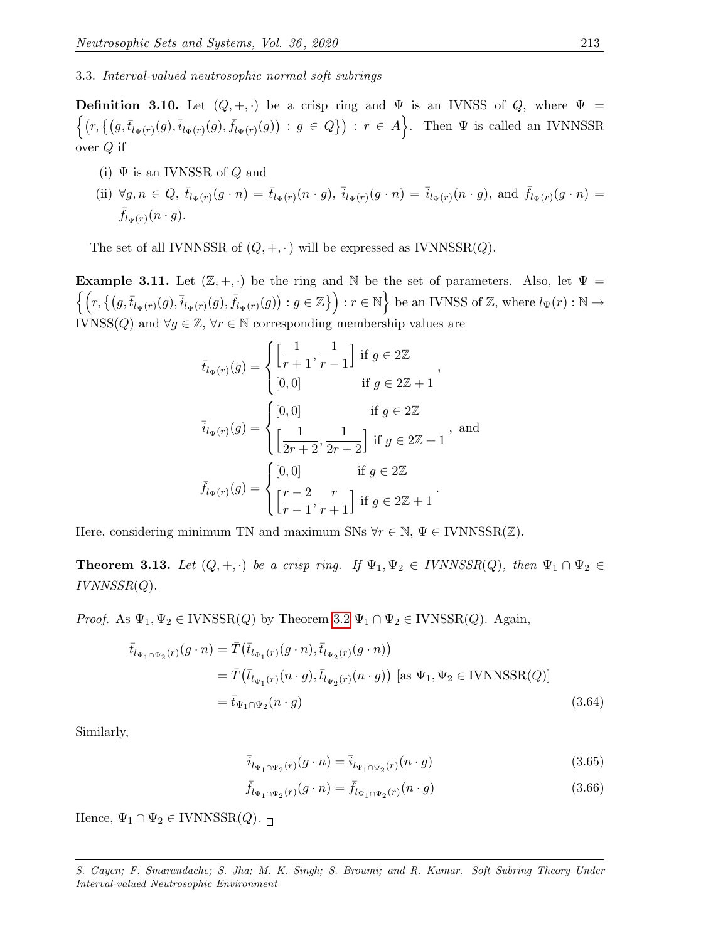3.3. Interval-valued neutrosophic normal soft subrings

**Definition 3.10.** Let  $(Q, +, \cdot)$  be a crisp ring and  $\Psi$  is an IVNSS of Q, where  $\Psi$  =  $\{(r,\{(g,\bar{t}_{l_{\Psi}(r)}(g),\bar{i}_{l_{\Psi}(r)}(g),\bar{f}_{l_{\Psi}(r)}(g))\,:\,g\in Q\})\,:\,r\in A\big\}.$  Then  $\Psi$  is called an IVNNSSR over Q if

- (i)  $\Psi$  is an IVNSSR of Q and
- (ii)  $\forall g, n \in Q, \ \bar{t}_{l_{\Psi}(r)}(g \cdot n) = \bar{t}_{l_{\Psi}(r)}(n \cdot g), \ \bar{i}_{l_{\Psi}(r)}(g \cdot n) = \bar{i}_{l_{\Psi}(r)}(n \cdot g), \text{ and } \ \bar{f}_{l_{\Psi}(r)}(g \cdot n) =$  $\bar{f}_{l_{\Psi}(r)}(n \cdot g).$

The set of all IVNNSSR of  $(Q, +, \cdot)$  will be expressed as IVNNSSR $(Q)$ .

**Example 3.11.** Let  $(\mathbb{Z}, +, \cdot)$  be the ring and N be the set of parameters. Also, let  $\Psi =$  $\{ (r, \{(g, \bar{t}_{l_{\Psi}(r)}(g), \bar{i}_{l_{\Psi}(r)}(g), \bar{f}_{l_{\Psi}(r)}(g)) : g \in \mathbb{Z}) \} : r \in \mathbb{N} \}$  be an IVNSS of  $\mathbb{Z}$ , where  $l_{\Psi}(r) : \mathbb{N} \to$ IVNSS(Q) and  $\forall g \in \mathbb{Z}, \forall r \in \mathbb{N}$  corresponding membership values are

$$
\bar{t}_{l_{\Psi}(r)}(g) = \begin{cases}\n\left[\frac{1}{r+1}, \frac{1}{r-1}\right] & \text{if } g \in 2\mathbb{Z} \\
[0,0] & \text{if } g \in 2\mathbb{Z} + 1\n\end{cases},
$$
\n
$$
\bar{i}_{l_{\Psi}(r)}(g) = \begin{cases}\n[0,0] & \text{if } g \in 2\mathbb{Z} \\
\left[\frac{1}{2r+2}, \frac{1}{2r-2}\right] & \text{if } g \in 2\mathbb{Z} + 1\n\end{cases}, \text{ and}
$$
\n
$$
\bar{f}_{l_{\Psi}(r)}(g) = \begin{cases}\n[0,0] & \text{if } g \in 2\mathbb{Z} \\
\left[\frac{r-2}{r-1}, \frac{r}{r+1}\right] & \text{if } g \in 2\mathbb{Z} + 1\n\end{cases}.
$$

Here, considering minimum TN and maximum SNs  $\forall r \in \mathbb{N}, \Psi \in \text{IVNNSSR}(\mathbb{Z})$ .

**Theorem 3.13.** Let  $(Q, +, \cdot)$  be a crisp ring. If  $\Psi_1, \Psi_2 \in IVNNSSR(Q)$ , then  $\Psi_1 \cap \Psi_2 \in$  $IVNNSSR(Q)$ .

*Proof.* As  $\Psi_1, \Psi_2 \in \text{IVNSSR}(Q)$  by Theorem [3.2](#page-9-7)  $\Psi_1 \cap \Psi_2 \in \text{IVNSSR}(Q)$ . Again,

$$
\bar{t}_{l_{\Psi_1 \cap \Psi_2}(r)}(g \cdot n) = \bar{T}(\bar{t}_{l_{\Psi_1}(r)}(g \cdot n), \bar{t}_{l_{\Psi_2}(r)}(g \cdot n))
$$
\n
$$
= \bar{T}(\bar{t}_{l_{\Psi_1}(r)}(n \cdot g), \bar{t}_{l_{\Psi_2}(r)}(n \cdot g)) \text{ [as } \Psi_1, \Psi_2 \in \text{IVNNSSR}(Q)]
$$
\n
$$
= \bar{t}_{\Psi_1 \cap \Psi_2}(n \cdot g) \tag{3.64}
$$

Similarly,

$$
\overline{i}_{l_{\Psi_1 \cap \Psi_2}(r)}(g \cdot n) = \overline{i}_{l_{\Psi_1 \cap \Psi_2}(r)}(n \cdot g)
$$
\n(3.65)

$$
\bar{f}_{l_{\Psi_1 \cap \Psi_2}(r)}(g \cdot n) = \bar{f}_{l_{\Psi_1 \cap \Psi_2}(r)}(n \cdot g)
$$
\n(3.66)

Hence,  $\Psi_1 \cap \Psi_2 \in \text{IVNNSSR}(Q)$ .

S. Gayen; F. Smarandache; S. Jha; M. K. Singh; S. Broumi; and R. Kumar. Soft Subring Theory Under Interval-valued Neutrosophic Environment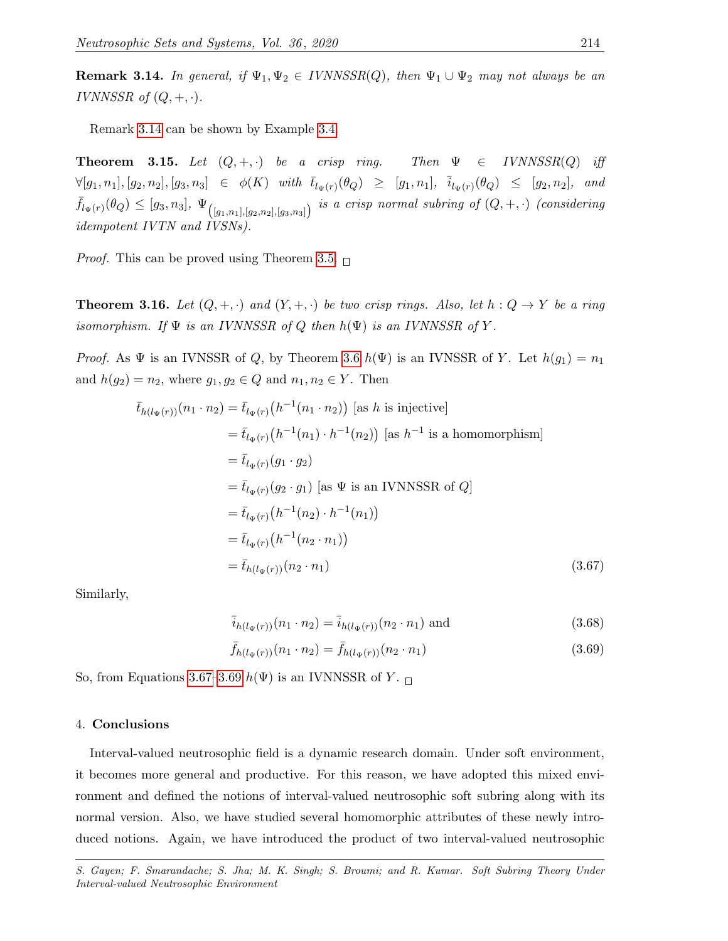<span id="page-21-1"></span>**Remark 3.14.** In general, if  $\Psi_1, \Psi_2 \in IVNNSSR(Q)$ , then  $\Psi_1 \cup \Psi_2$  may not always be an IVNNSSR of  $(Q, +, \cdot)$ .

Remark [3.14](#page-21-1) can be shown by Example [3.4.](#page-10-2)

**Theorem 3.15.** Let  $(Q, +, \cdot)$  be a crisp ring. Then  $\Psi \in IVMNSSR(Q)$  iff  $\forall [g_1, n_1], [g_2, n_2], [g_3, n_3] \in \phi(K)$  with  $\overline{t}_{l_{\Psi}(r)}(\theta_Q) \geq [g_1, n_1], \overline{i}_{l_{\Psi}(r)}(\theta_Q) \leq [g_2, n_2],$  and  $\bar{f}_{l_{\Psi}(r)}(\theta_{Q}) \leq [g_3, n_3], \ \Psi_{([g_1,n_1],[g_2,n_2],[g_3,n_3])}$  is a crisp normal subring of  $(Q, +, \cdot)$  (considering idempotent IVTN and IVSNs).

*Proof.* This can be proved using Theorem [3.5.](#page-12-2)  $\Box$ 

**Theorem 3.16.** Let  $(Q, +, \cdot)$  and  $(Y, +, \cdot)$  be two crisp rings. Also, let  $h: Q \to Y$  be a ring isomorphism. If  $\Psi$  is an IVNNSSR of Q then  $h(\Psi)$  is an IVNNSSR of Y.

*Proof.* As  $\Psi$  is an IVNSSR of Q, by Theorem [3.6](#page-14-2)  $h(\Psi)$  is an IVNSSR of Y. Let  $h(g_1) = n_1$ and  $h(g_2) = n_2$ , where  $g_1, g_2 \in Q$  and  $n_1, n_2 \in Y$ . Then

$$
\bar{t}_{h(l_{\Psi}(r))}(n_{1} \cdot n_{2}) = \bar{t}_{l_{\Psi}(r)}(h^{-1}(n_{1} \cdot n_{2})) \text{ [as } h \text{ is injective]}
$$
\n
$$
= \bar{t}_{l_{\Psi}(r)}(h^{-1}(n_{1}) \cdot h^{-1}(n_{2})) \text{ [as } h^{-1} \text{ is a homomorphism}]
$$
\n
$$
= \bar{t}_{l_{\Psi}(r)}(g_{1} \cdot g_{2})
$$
\n
$$
= \bar{t}_{l_{\Psi}(r)}(g_{2} \cdot g_{1}) \text{ [as } \Psi \text{ is an IVNNSSR of } Q]
$$
\n
$$
= \bar{t}_{l_{\Psi}(r)}(h^{-1}(n_{2}) \cdot h^{-1}(n_{1}))
$$
\n
$$
= \bar{t}_{l_{\Psi}(r)}(h^{-1}(n_{2} \cdot n_{1}))
$$
\n
$$
= \bar{t}_{h(l_{\Psi}(r))}(n_{2} \cdot n_{1}) \qquad (3.67)
$$

Similarly,

<span id="page-21-3"></span><span id="page-21-2"></span>
$$
\bar{i}_{h(l_{\Psi}(r))}(n_1 \cdot n_2) = \bar{i}_{h(l_{\Psi}(r))}(n_2 \cdot n_1) \text{ and } (3.68)
$$

$$
\bar{f}_{h(l_{\Psi}(r))}(n_1 \cdot n_2) = \bar{f}_{h(l_{\Psi}(r))}(n_2 \cdot n_1)
$$
\n(3.69)

So, from Equations [3.67–](#page-21-2)[3.69](#page-21-3)  $h(\Psi)$  is an IVNNSSR of Y.  $\Box$ 

### <span id="page-21-0"></span>4. Conclusions

Interval-valued neutrosophic field is a dynamic research domain. Under soft environment, it becomes more general and productive. For this reason, we have adopted this mixed environment and defined the notions of interval-valued neutrosophic soft subring along with its normal version. Also, we have studied several homomorphic attributes of these newly introduced notions. Again, we have introduced the product of two interval-valued neutrosophic

S. Gayen; F. Smarandache; S. Jha; M. K. Singh; S. Broumi; and R. Kumar. Soft Subring Theory Under Interval-valued Neutrosophic Environment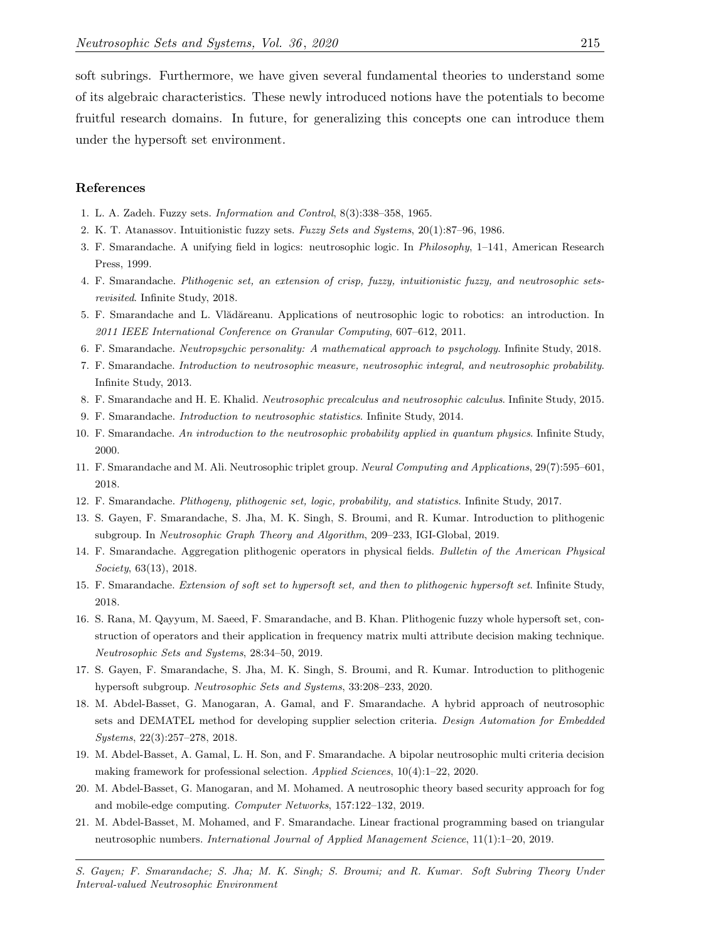soft subrings. Furthermore, we have given several fundamental theories to understand some of its algebraic characteristics. These newly introduced notions have the potentials to become fruitful research domains. In future, for generalizing this concepts one can introduce them under the hypersoft set environment.

#### References

- <span id="page-22-0"></span>1. L. A. Zadeh. Fuzzy sets. Information and Control, 8(3):338–358, 1965.
- <span id="page-22-1"></span>2. K. T. Atanassov. Intuitionistic fuzzy sets. Fuzzy Sets and Systems, 20(1):87–96, 1986.
- <span id="page-22-2"></span>3. F. Smarandache. A unifying field in logics: neutrosophic logic. In Philosophy, 1–141, American Research Press, 1999.
- <span id="page-22-3"></span>4. F. Smarandache. Plithogenic set, an extension of crisp, fuzzy, intuitionistic fuzzy, and neutrosophic setsrevisited. Infinite Study, 2018.
- <span id="page-22-4"></span>5. F. Smarandache and L. Vlădăreanu. Applications of neutrosophic logic to robotics: an introduction. In 2011 IEEE International Conference on Granular Computing, 607–612, 2011.
- <span id="page-22-5"></span>6. F. Smarandache. Neutropsychic personality: A mathematical approach to psychology. Infinite Study, 2018.
- <span id="page-22-6"></span>7. F. Smarandache. Introduction to neutrosophic measure, neutrosophic integral, and neutrosophic probability. Infinite Study, 2013.
- <span id="page-22-7"></span>8. F. Smarandache and H. E. Khalid. Neutrosophic precalculus and neutrosophic calculus. Infinite Study, 2015.
- <span id="page-22-8"></span>9. F. Smarandache. Introduction to neutrosophic statistics. Infinite Study, 2014.
- <span id="page-22-9"></span>10. F. Smarandache. An introduction to the neutrosophic probability applied in quantum physics. Infinite Study, 2000.
- <span id="page-22-10"></span>11. F. Smarandache and M. Ali. Neutrosophic triplet group. Neural Computing and Applications, 29(7):595–601, 2018.
- <span id="page-22-11"></span>12. F. Smarandache. Plithogeny, plithogenic set, logic, probability, and statistics. Infinite Study, 2017.
- <span id="page-22-12"></span>13. S. Gayen, F. Smarandache, S. Jha, M. K. Singh, S. Broumi, and R. Kumar. Introduction to plithogenic subgroup. In Neutrosophic Graph Theory and Algorithm, 209–233, IGI-Global, 2019.
- <span id="page-22-13"></span>14. F. Smarandache. Aggregation plithogenic operators in physical fields. Bulletin of the American Physical Society, 63(13), 2018.
- <span id="page-22-14"></span>15. F. Smarandache. Extension of soft set to hypersoft set, and then to plithogenic hypersoft set. Infinite Study, 2018.
- <span id="page-22-15"></span>16. S. Rana, M. Qayyum, M. Saeed, F. Smarandache, and B. Khan. Plithogenic fuzzy whole hypersoft set, construction of operators and their application in frequency matrix multi attribute decision making technique. Neutrosophic Sets and Systems, 28:34–50, 2019.
- <span id="page-22-16"></span>17. S. Gayen, F. Smarandache, S. Jha, M. K. Singh, S. Broumi, and R. Kumar. Introduction to plithogenic hypersoft subgroup. Neutrosophic Sets and Systems, 33:208–233, 2020.
- <span id="page-22-17"></span>18. M. Abdel-Basset, G. Manogaran, A. Gamal, and F. Smarandache. A hybrid approach of neutrosophic sets and DEMATEL method for developing supplier selection criteria. Design Automation for Embedded Systems, 22(3):257–278, 2018.
- <span id="page-22-18"></span>19. M. Abdel-Basset, A. Gamal, L. H. Son, and F. Smarandache. A bipolar neutrosophic multi criteria decision making framework for professional selection. Applied Sciences, 10(4):1–22, 2020.
- <span id="page-22-19"></span>20. M. Abdel-Basset, G. Manogaran, and M. Mohamed. A neutrosophic theory based security approach for fog and mobile-edge computing. Computer Networks, 157:122–132, 2019.
- <span id="page-22-20"></span>21. M. Abdel-Basset, M. Mohamed, and F. Smarandache. Linear fractional programming based on triangular neutrosophic numbers. International Journal of Applied Management Science, 11(1):1–20, 2019.
- S. Gayen; F. Smarandache; S. Jha; M. K. Singh; S. Broumi; and R. Kumar. Soft Subring Theory Under Interval-valued Neutrosophic Environment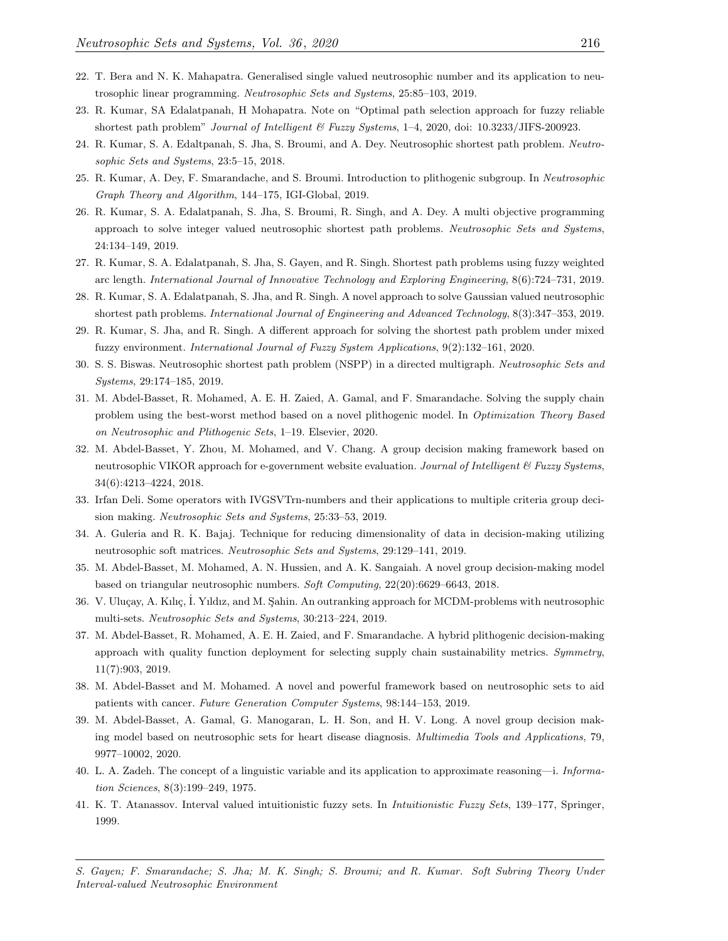- <span id="page-23-0"></span>22. T. Bera and N. K. Mahapatra. Generalised single valued neutrosophic number and its application to neutrosophic linear programming. Neutrosophic Sets and Systems, 25:85–103, 2019.
- <span id="page-23-1"></span>23. R. Kumar, SA Edalatpanah, H Mohapatra. Note on "Optimal path selection approach for fuzzy reliable shortest path problem" Journal of Intelligent & Fuzzy Systems, 1-4, 2020, doi: 10.3233/JIFS-200923.
- 24. R. Kumar, S. A. Edaltpanah, S. Jha, S. Broumi, and A. Dey. Neutrosophic shortest path problem. Neutrosophic Sets and Systems, 23:5–15, 2018.
- 25. R. Kumar, A. Dey, F. Smarandache, and S. Broumi. Introduction to plithogenic subgroup. In Neutrosophic Graph Theory and Algorithm, 144–175, IGI-Global, 2019.
- 26. R. Kumar, S. A. Edalatpanah, S. Jha, S. Broumi, R. Singh, and A. Dey. A multi objective programming approach to solve integer valued neutrosophic shortest path problems. Neutrosophic Sets and Systems, 24:134–149, 2019.
- 27. R. Kumar, S. A. Edalatpanah, S. Jha, S. Gayen, and R. Singh. Shortest path problems using fuzzy weighted arc length. International Journal of Innovative Technology and Exploring Engineering, 8(6):724–731, 2019.
- 28. R. Kumar, S. A. Edalatpanah, S. Jha, and R. Singh. A novel approach to solve Gaussian valued neutrosophic shortest path problems. International Journal of Engineering and Advanced Technology, 8(3):347–353, 2019.
- 29. R. Kumar, S. Jha, and R. Singh. A different approach for solving the shortest path problem under mixed fuzzy environment. International Journal of Fuzzy System Applications, 9(2):132–161, 2020.
- <span id="page-23-2"></span>30. S. S. Biswas. Neutrosophic shortest path problem (NSPP) in a directed multigraph. Neutrosophic Sets and Systems, 29:174–185, 2019.
- <span id="page-23-3"></span>31. M. Abdel-Basset, R. Mohamed, A. E. H. Zaied, A. Gamal, and F. Smarandache. Solving the supply chain problem using the best-worst method based on a novel plithogenic model. In Optimization Theory Based on Neutrosophic and Plithogenic Sets, 1–19. Elsevier, 2020.
- <span id="page-23-4"></span>32. M. Abdel-Basset, Y. Zhou, M. Mohamed, and V. Chang. A group decision making framework based on neutrosophic VIKOR approach for e-government website evaluation. Journal of Intelligent  $\mathcal{C}$  Fuzzy Systems, 34(6):4213–4224, 2018.
- 33. Irfan Deli. Some operators with IVGSVTrn-numbers and their applications to multiple criteria group decision making. Neutrosophic Sets and Systems, 25:33–53, 2019.
- 34. A. Guleria and R. K. Bajaj. Technique for reducing dimensionality of data in decision-making utilizing neutrosophic soft matrices. Neutrosophic Sets and Systems, 29:129–141, 2019.
- 35. M. Abdel-Basset, M. Mohamed, A. N. Hussien, and A. K. Sangaiah. A novel group decision-making model based on triangular neutrosophic numbers. Soft Computing, 22(20):6629–6643, 2018.
- 36. V. Uluçay, A. Kılıç, İ. Yıldız, and M. Şahin. An outranking approach for MCDM-problems with neutrosophic multi-sets. Neutrosophic Sets and Systems, 30:213–224, 2019.
- <span id="page-23-5"></span>37. M. Abdel-Basset, R. Mohamed, A. E. H. Zaied, and F. Smarandache. A hybrid plithogenic decision-making approach with quality function deployment for selecting supply chain sustainability metrics. Symmetry, 11(7):903, 2019.
- <span id="page-23-6"></span>38. M. Abdel-Basset and M. Mohamed. A novel and powerful framework based on neutrosophic sets to aid patients with cancer. Future Generation Computer Systems, 98:144–153, 2019.
- <span id="page-23-7"></span>39. M. Abdel-Basset, A. Gamal, G. Manogaran, L. H. Son, and H. V. Long. A novel group decision making model based on neutrosophic sets for heart disease diagnosis. Multimedia Tools and Applications, 79, 9977–10002, 2020.
- <span id="page-23-8"></span>40. L. A. Zadeh. The concept of a linguistic variable and its application to approximate reasoning—i. Information Sciences, 8(3):199–249, 1975.
- <span id="page-23-9"></span>41. K. T. Atanassov. Interval valued intuitionistic fuzzy sets. In Intuitionistic Fuzzy Sets, 139–177, Springer, 1999.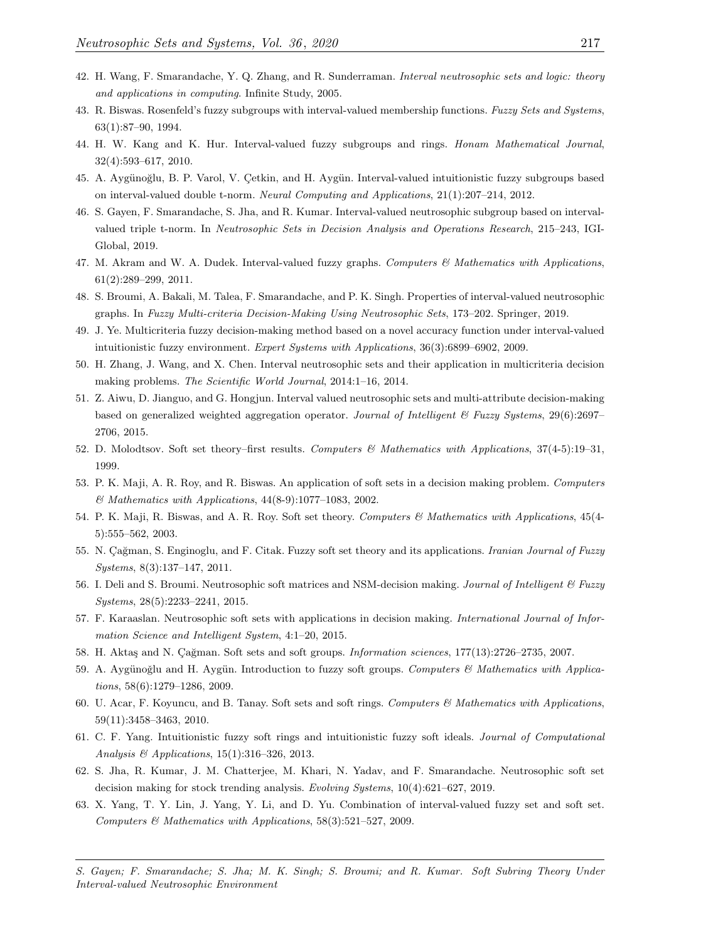- <span id="page-24-0"></span>42. H. Wang, F. Smarandache, Y. Q. Zhang, and R. Sunderraman. Interval neutrosophic sets and logic: theory and applications in computing. Infinite Study, 2005.
- <span id="page-24-1"></span>43. R. Biswas. Rosenfeld's fuzzy subgroups with interval-valued membership functions. Fuzzy Sets and Systems, 63(1):87–90, 1994.
- 44. H. W. Kang and K. Hur. Interval-valued fuzzy subgroups and rings. Honam Mathematical Journal, 32(4):593–617, 2010.
- 45. A. Aygünoğlu, B. P. Varol, V. Çetkin, and H. Aygün. Interval-valued intuitionistic fuzzy subgroups based on interval-valued double t-norm. Neural Computing and Applications, 21(1):207–214, 2012.
- <span id="page-24-2"></span>46. S. Gayen, F. Smarandache, S. Jha, and R. Kumar. Interval-valued neutrosophic subgroup based on intervalvalued triple t-norm. In Neutrosophic Sets in Decision Analysis and Operations Research, 215–243, IGI-Global, 2019.
- <span id="page-24-3"></span>47. M. Akram and W. A. Dudek. Interval-valued fuzzy graphs. Computers  $\mathcal{C}'$  Mathematics with Applications, 61(2):289–299, 2011.
- <span id="page-24-4"></span>48. S. Broumi, A. Bakali, M. Talea, F. Smarandache, and P. K. Singh. Properties of interval-valued neutrosophic graphs. In Fuzzy Multi-criteria Decision-Making Using Neutrosophic Sets, 173–202. Springer, 2019.
- <span id="page-24-5"></span>49. J. Ye. Multicriteria fuzzy decision-making method based on a novel accuracy function under interval-valued intuitionistic fuzzy environment. Expert Systems with Applications, 36(3):6899–6902, 2009.
- 50. H. Zhang, J. Wang, and X. Chen. Interval neutrosophic sets and their application in multicriteria decision making problems. The Scientific World Journal, 2014:1–16, 2014.
- <span id="page-24-6"></span>51. Z. Aiwu, D. Jianguo, and G. Hongjun. Interval valued neutrosophic sets and multi-attribute decision-making based on generalized weighted aggregation operator. Journal of Intelligent & Fuzzy Systems, 29(6):2697– 2706, 2015.
- <span id="page-24-7"></span>52. D. Molodtsov. Soft set theory–first results. Computers & Mathematics with Applications, 37(4-5):19–31, 1999.
- <span id="page-24-8"></span>53. P. K. Maji, A. R. Roy, and R. Biswas. An application of soft sets in a decision making problem. Computers & Mathematics with Applications, 44(8-9):1077–1083, 2002.
- 54. P. K. Maji, R. Biswas, and A. R. Roy. Soft set theory. Computers & Mathematics with Applications, 45(4-5):555–562, 2003.
- 55. N. Cağman, S. Enginoglu, and F. Citak. Fuzzy soft set theory and its applications. Iranian Journal of Fuzzy Systems, 8(3):137–147, 2011.
- <span id="page-24-14"></span>56. I. Deli and S. Broumi. Neutrosophic soft matrices and NSM-decision making. Journal of Intelligent & Fuzzy Systems, 28(5):2233–2241, 2015.
- <span id="page-24-9"></span>57. F. Karaaslan. Neutrosophic soft sets with applications in decision making. International Journal of Information Science and Intelligent System, 4:1–20, 2015.
- <span id="page-24-10"></span>58. H. Aktaş and N. Çağman. Soft sets and soft groups. Information sciences, 177(13):2726–2735, 2007.
- 59. A. Aygünoğlu and H. Aygün. Introduction to fuzzy soft groups. Computers  $\mathcal C$  Mathematics with Applications, 58(6):1279–1286, 2009.
- 60. U. Acar, F. Koyuncu, and B. Tanay. Soft sets and soft rings. Computers & Mathematics with Applications, 59(11):3458–3463, 2010.
- <span id="page-24-11"></span>61. C. F. Yang. Intuitionistic fuzzy soft rings and intuitionistic fuzzy soft ideals. Journal of Computational Analysis & Applications, 15(1):316–326, 2013.
- <span id="page-24-12"></span>62. S. Jha, R. Kumar, J. M. Chatterjee, M. Khari, N. Yadav, and F. Smarandache. Neutrosophic soft set decision making for stock trending analysis. Evolving Systems, 10(4):621–627, 2019.
- <span id="page-24-13"></span>63. X. Yang, T. Y. Lin, J. Yang, Y. Li, and D. Yu. Combination of interval-valued fuzzy set and soft set. Computers & Mathematics with Applications, 58(3):521–527, 2009.
- S. Gayen; F. Smarandache; S. Jha; M. K. Singh; S. Broumi; and R. Kumar. Soft Subring Theory Under Interval-valued Neutrosophic Environment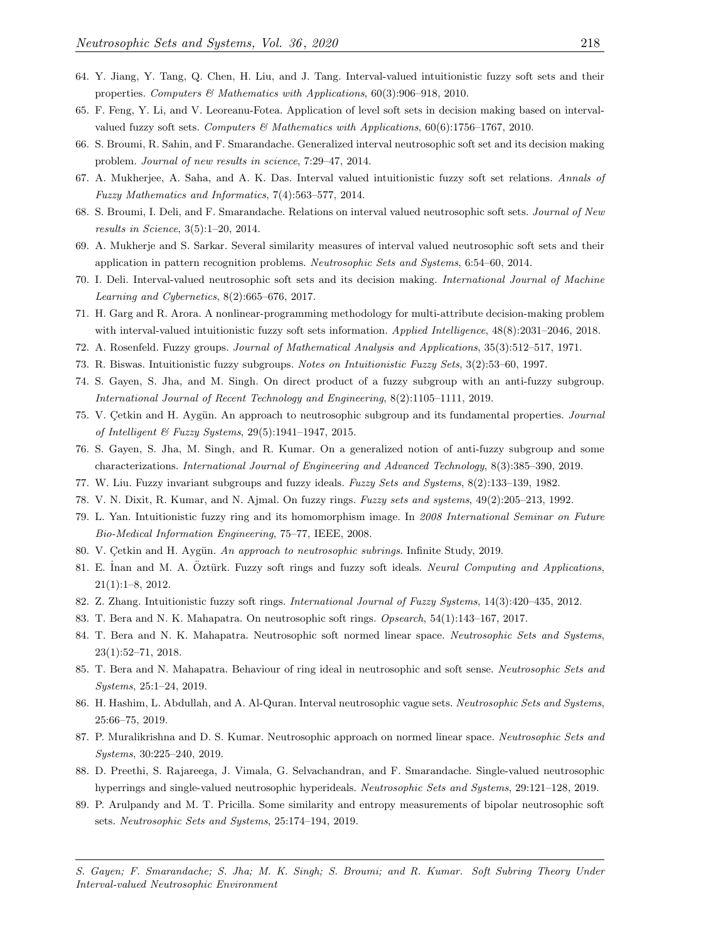- <span id="page-25-0"></span>64. Y. Jiang, Y. Tang, Q. Chen, H. Liu, and J. Tang. Interval-valued intuitionistic fuzzy soft sets and their properties. Computers & Mathematics with Applications,  $60(3):906-918$ , 2010.
- <span id="page-25-1"></span>65. F. Feng, Y. Li, and V. Leoreanu-Fotea. Application of level soft sets in decision making based on intervalvalued fuzzy soft sets. Computers & Mathematics with Applications,  $60(6)$ :1756–1767, 2010.
- <span id="page-25-2"></span>66. S. Broumi, R. Sahin, and F. Smarandache. Generalized interval neutrosophic soft set and its decision making problem. Journal of new results in science, 7:29–47, 2014.
- <span id="page-25-3"></span>67. A. Mukherjee, A. Saha, and A. K. Das. Interval valued intuitionistic fuzzy soft set relations. Annals of Fuzzy Mathematics and Informatics, 7(4):563–577, 2014.
- <span id="page-25-4"></span>68. S. Broumi, I. Deli, and F. Smarandache. Relations on interval valued neutrosophic soft sets. Journal of New results in Science, 3(5):1–20, 2014.
- <span id="page-25-5"></span>69. A. Mukherje and S. Sarkar. Several similarity measures of interval valued neutrosophic soft sets and their application in pattern recognition problems. Neutrosophic Sets and Systems, 6:54–60, 2014.
- <span id="page-25-6"></span>70. I. Deli. Interval-valued neutrosophic soft sets and its decision making. International Journal of Machine Learning and Cybernetics, 8(2):665–676, 2017.
- <span id="page-25-7"></span>71. H. Garg and R. Arora. A nonlinear-programming methodology for multi-attribute decision-making problem with interval-valued intuitionistic fuzzy soft sets information. Applied Intelligence,  $48(8):2031-2046$ , 2018.
- <span id="page-25-8"></span>72. A. Rosenfeld. Fuzzy groups. Journal of Mathematical Analysis and Applications, 35(3):512–517, 1971.
- 73. R. Biswas. Intuitionistic fuzzy subgroups. Notes on Intuitionistic Fuzzy Sets, 3(2):53–60, 1997.
- 74. S. Gayen, S. Jha, and M. Singh. On direct product of a fuzzy subgroup with an anti-fuzzy subgroup. International Journal of Recent Technology and Engineering, 8(2):1105–1111, 2019.
- 75. V. Çetkin and H. Aygün. An approach to neutrosophic subgroup and its fundamental properties. Journal of Intelligent & Fuzzy Systems, 29(5):1941–1947, 2015.
- <span id="page-25-9"></span>76. S. Gayen, S. Jha, M. Singh, and R. Kumar. On a generalized notion of anti-fuzzy subgroup and some characterizations. International Journal of Engineering and Advanced Technology, 8(3):385–390, 2019.
- <span id="page-25-10"></span>77. W. Liu. Fuzzy invariant subgroups and fuzzy ideals. Fuzzy Sets and Systems, 8(2):133-139, 1982.
- 78. V. N. Dixit, R. Kumar, and N. Ajmal. On fuzzy rings. Fuzzy sets and systems, 49(2):205–213, 1992.
- 79. L. Yan. Intuitionistic fuzzy ring and its homomorphism image. In 2008 International Seminar on Future Bio-Medical Information Engineering, 75–77, IEEE, 2008.
- <span id="page-25-11"></span>80. V. Cetkin and H. Aygün. An approach to neutrosophic subrings. Infinite Study, 2019.
- <span id="page-25-12"></span>81. E. İnan and M. A. Öztürk. Fuzzy soft rings and fuzzy soft ideals. Neural Computing and Applications, 21(1):1–8, 2012.
- <span id="page-25-13"></span>82. Z. Zhang. Intuitionistic fuzzy soft rings. International Journal of Fuzzy Systems, 14(3):420–435, 2012.
- <span id="page-25-14"></span>83. T. Bera and N. K. Mahapatra. On neutrosophic soft rings. Opsearch, 54(1):143–167, 2017.
- <span id="page-25-15"></span>84. T. Bera and N. K. Mahapatra. Neutrosophic soft normed linear space. Neutrosophic Sets and Systems, 23(1):52–71, 2018.
- 85. T. Bera and N. Mahapatra. Behaviour of ring ideal in neutrosophic and soft sense. Neutrosophic Sets and Systems, 25:1–24, 2019.
- 86. H. Hashim, L. Abdullah, and A. Al-Quran. Interval neutrosophic vague sets. Neutrosophic Sets and Systems, 25:66–75, 2019.
- 87. P. Muralikrishna and D. S. Kumar. Neutrosophic approach on normed linear space. Neutrosophic Sets and Systems, 30:225–240, 2019.
- 88. D. Preethi, S. Rajareega, J. Vimala, G. Selvachandran, and F. Smarandache. Single-valued neutrosophic hyperrings and single-valued neutrosophic hyperideals. Neutrosophic Sets and Systems, 29:121–128, 2019.
- 89. P. Arulpandy and M. T. Pricilla. Some similarity and entropy measurements of bipolar neutrosophic soft sets. Neutrosophic Sets and Systems, 25:174–194, 2019.
- S. Gayen; F. Smarandache; S. Jha; M. K. Singh; S. Broumi; and R. Kumar. Soft Subring Theory Under Interval-valued Neutrosophic Environment